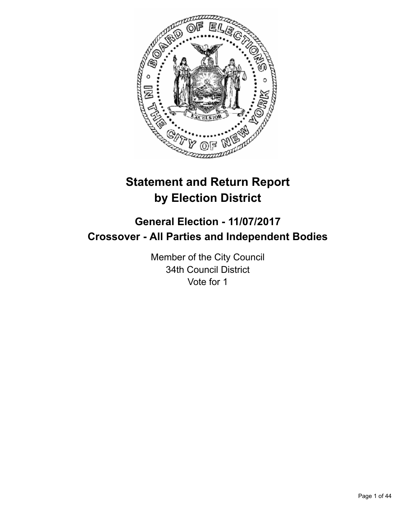

# **Statement and Return Report by Election District**

# **General Election - 11/07/2017 Crossover - All Parties and Independent Bodies**

Member of the City Council 34th Council District Vote for 1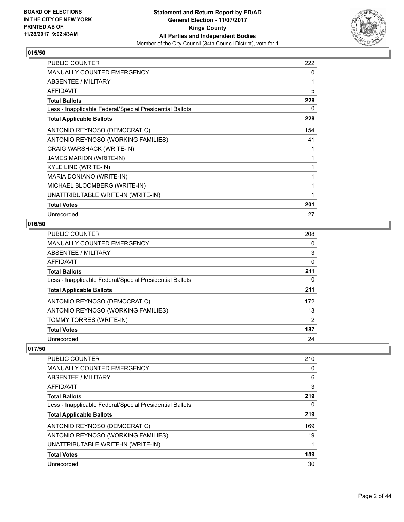

| <b>PUBLIC COUNTER</b>                                    | 222 |
|----------------------------------------------------------|-----|
| <b>MANUALLY COUNTED EMERGENCY</b>                        | 0   |
| <b>ABSENTEE / MILITARY</b>                               | 1   |
| <b>AFFIDAVIT</b>                                         | 5   |
| <b>Total Ballots</b>                                     | 228 |
| Less - Inapplicable Federal/Special Presidential Ballots | 0   |
| <b>Total Applicable Ballots</b>                          | 228 |
| ANTONIO REYNOSO (DEMOCRATIC)                             | 154 |
| ANTONIO REYNOSO (WORKING FAMILIES)                       | 41  |
| CRAIG WARSHACK (WRITE-IN)                                | 1   |
| JAMES MARION (WRITE-IN)                                  | 1   |
| KYLE LIND (WRITE-IN)                                     | 1   |
| MARIA DONIANO (WRITE-IN)                                 | 1   |
| MICHAEL BLOOMBERG (WRITE-IN)                             | 1   |
| UNATTRIBUTABLE WRITE-IN (WRITE-IN)                       | 1   |
| <b>Total Votes</b>                                       | 201 |
| Unrecorded                                               | 27  |

## **016/50**

| <b>PUBLIC COUNTER</b>                                    | 208 |
|----------------------------------------------------------|-----|
| <b>MANUALLY COUNTED EMERGENCY</b>                        | 0   |
| <b>ABSENTEE / MILITARY</b>                               | 3   |
| <b>AFFIDAVIT</b>                                         | 0   |
| <b>Total Ballots</b>                                     | 211 |
| Less - Inapplicable Federal/Special Presidential Ballots | 0   |
| <b>Total Applicable Ballots</b>                          | 211 |
| ANTONIO REYNOSO (DEMOCRATIC)                             | 172 |
| ANTONIO REYNOSO (WORKING FAMILIES)                       | 13  |
| TOMMY TORRES (WRITE-IN)                                  | 2   |
| <b>Total Votes</b>                                       | 187 |
| Unrecorded                                               | 24  |

| PUBLIC COUNTER                                           | 210 |
|----------------------------------------------------------|-----|
| <b>MANUALLY COUNTED EMERGENCY</b>                        | 0   |
| ABSENTEE / MILITARY                                      | 6   |
| AFFIDAVIT                                                | 3   |
| <b>Total Ballots</b>                                     | 219 |
| Less - Inapplicable Federal/Special Presidential Ballots | 0   |
| <b>Total Applicable Ballots</b>                          | 219 |
| ANTONIO REYNOSO (DEMOCRATIC)                             | 169 |
| ANTONIO REYNOSO (WORKING FAMILIES)                       | 19  |
| UNATTRIBUTABLE WRITE-IN (WRITE-IN)                       |     |
| <b>Total Votes</b>                                       | 189 |
| Unrecorded                                               | 30  |
|                                                          |     |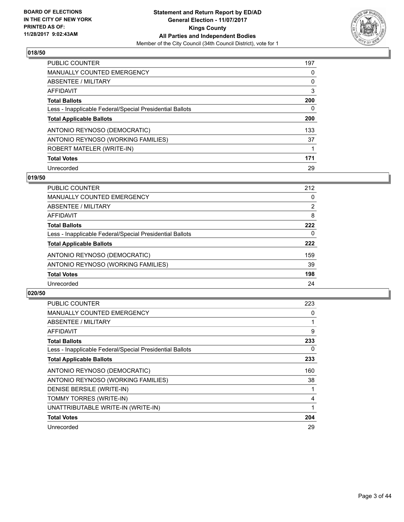

| <b>PUBLIC COUNTER</b>                                    | 197 |
|----------------------------------------------------------|-----|
| <b>MANUALLY COUNTED EMERGENCY</b>                        | 0   |
| ABSENTEE / MILITARY                                      | 0   |
| AFFIDAVIT                                                | 3   |
| <b>Total Ballots</b>                                     | 200 |
| Less - Inapplicable Federal/Special Presidential Ballots | 0   |
| <b>Total Applicable Ballots</b>                          | 200 |
| ANTONIO REYNOSO (DEMOCRATIC)                             | 133 |
| ANTONIO REYNOSO (WORKING FAMILIES)                       | 37  |
| ROBERT MATELER (WRITE-IN)                                |     |
| <b>Total Votes</b>                                       | 171 |
| Unrecorded                                               | 29  |

#### **019/50**

| <b>PUBLIC COUNTER</b>                                    | 212 |
|----------------------------------------------------------|-----|
| MANUALLY COUNTED EMERGENCY                               | 0   |
| ABSENTEE / MILITARY                                      | 2   |
| AFFIDAVIT                                                | 8   |
| <b>Total Ballots</b>                                     | 222 |
| Less - Inapplicable Federal/Special Presidential Ballots | 0   |
| <b>Total Applicable Ballots</b>                          | 222 |
| ANTONIO REYNOSO (DEMOCRATIC)                             | 159 |
| ANTONIO REYNOSO (WORKING FAMILIES)                       | 39  |
| <b>Total Votes</b>                                       | 198 |
| Unrecorded                                               | 24  |

| <b>PUBLIC COUNTER</b>                                    | 223 |
|----------------------------------------------------------|-----|
| <b>MANUALLY COUNTED EMERGENCY</b>                        | 0   |
| <b>ABSENTEE / MILITARY</b>                               |     |
| AFFIDAVIT                                                | 9   |
| <b>Total Ballots</b>                                     | 233 |
| Less - Inapplicable Federal/Special Presidential Ballots | 0   |
| <b>Total Applicable Ballots</b>                          | 233 |
| ANTONIO REYNOSO (DEMOCRATIC)                             | 160 |
| ANTONIO REYNOSO (WORKING FAMILIES)                       | 38  |
| DENISE BERSILE (WRITE-IN)                                |     |
|                                                          |     |
| TOMMY TORRES (WRITE-IN)                                  | 4   |
| UNATTRIBUTABLE WRITE-IN (WRITE-IN)                       |     |
| <b>Total Votes</b>                                       | 204 |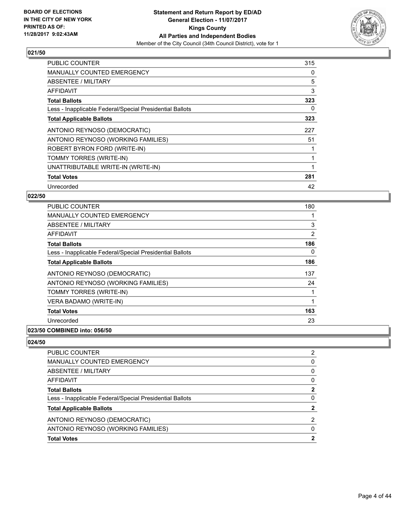

| <b>PUBLIC COUNTER</b>                                    | 315 |
|----------------------------------------------------------|-----|
| <b>MANUALLY COUNTED EMERGENCY</b>                        | 0   |
| <b>ABSENTEE / MILITARY</b>                               | 5   |
| AFFIDAVIT                                                | 3   |
| <b>Total Ballots</b>                                     | 323 |
| Less - Inapplicable Federal/Special Presidential Ballots | 0   |
| <b>Total Applicable Ballots</b>                          | 323 |
| ANTONIO REYNOSO (DEMOCRATIC)                             | 227 |
| ANTONIO REYNOSO (WORKING FAMILIES)                       | 51  |
| ROBERT BYRON FORD (WRITE-IN)                             |     |
| TOMMY TORRES (WRITE-IN)                                  |     |
| UNATTRIBUTABLE WRITE-IN (WRITE-IN)                       |     |
| <b>Total Votes</b>                                       | 281 |
| Unrecorded                                               | 42  |

## **022/50**

| <b>PUBLIC COUNTER</b>                                                                                                                                                                                                                                                                                                                                                                                                  | 180 |
|------------------------------------------------------------------------------------------------------------------------------------------------------------------------------------------------------------------------------------------------------------------------------------------------------------------------------------------------------------------------------------------------------------------------|-----|
| <b>MANUALLY COUNTED EMERGENCY</b>                                                                                                                                                                                                                                                                                                                                                                                      |     |
| ABSENTEE / MILITARY                                                                                                                                                                                                                                                                                                                                                                                                    | 3   |
| <b>AFFIDAVIT</b>                                                                                                                                                                                                                                                                                                                                                                                                       | 2   |
| <b>Total Ballots</b>                                                                                                                                                                                                                                                                                                                                                                                                   | 186 |
| Less - Inapplicable Federal/Special Presidential Ballots                                                                                                                                                                                                                                                                                                                                                               | 0   |
| <b>Total Applicable Ballots</b>                                                                                                                                                                                                                                                                                                                                                                                        | 186 |
| ANTONIO REYNOSO (DEMOCRATIC)                                                                                                                                                                                                                                                                                                                                                                                           | 137 |
| ANTONIO REYNOSO (WORKING FAMILIES)                                                                                                                                                                                                                                                                                                                                                                                     | 24  |
| TOMMY TORRES (WRITE-IN)                                                                                                                                                                                                                                                                                                                                                                                                |     |
| VERA BADAMO (WRITE-IN)                                                                                                                                                                                                                                                                                                                                                                                                 |     |
| <b>Total Votes</b>                                                                                                                                                                                                                                                                                                                                                                                                     | 163 |
| Unrecorded                                                                                                                                                                                                                                                                                                                                                                                                             | 23  |
| $\mathbf{A} \mathbf{A} \mathbf{B} \mathbf{B} \mathbf{B} \mathbf{B} \mathbf{B} \mathbf{A} \mathbf{A} \mathbf{A} \mathbf{A} \mathbf{A} \mathbf{A} \mathbf{A} \mathbf{A} \mathbf{A} \mathbf{A} \mathbf{A} \mathbf{A} \mathbf{A} \mathbf{A} \mathbf{A} \mathbf{A} \mathbf{A} \mathbf{A} \mathbf{A} \mathbf{A} \mathbf{A} \mathbf{A} \mathbf{A} \mathbf{A} \mathbf{A} \mathbf{A} \mathbf{A} \mathbf{A} \mathbf{A} \mathbf{$ |     |

## **023/50 COMBINED into: 056/50**

| <b>PUBLIC COUNTER</b>                                    | 2 |
|----------------------------------------------------------|---|
| <b>MANUALLY COUNTED EMERGENCY</b>                        | 0 |
| ABSENTEE / MILITARY                                      | 0 |
| AFFIDAVIT                                                | 0 |
| <b>Total Ballots</b>                                     | 2 |
| Less - Inapplicable Federal/Special Presidential Ballots | 0 |
| <b>Total Applicable Ballots</b>                          | 2 |
| ANTONIO REYNOSO (DEMOCRATIC)                             | 2 |
| ANTONIO REYNOSO (WORKING FAMILIES)                       | 0 |
| <b>Total Votes</b>                                       | 2 |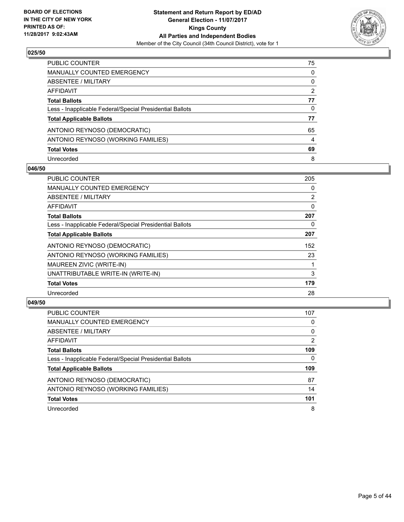

| PUBLIC COUNTER                                           | 75             |
|----------------------------------------------------------|----------------|
| <b>MANUALLY COUNTED EMERGENCY</b>                        | 0              |
| ABSENTEE / MILITARY                                      | 0              |
| AFFIDAVIT                                                | $\overline{2}$ |
| <b>Total Ballots</b>                                     | 77             |
| Less - Inapplicable Federal/Special Presidential Ballots | 0              |
| <b>Total Applicable Ballots</b>                          | 77             |
| ANTONIO REYNOSO (DEMOCRATIC)                             | 65             |
| ANTONIO REYNOSO (WORKING FAMILIES)                       | 4              |
| <b>Total Votes</b>                                       | 69             |
| Unrecorded                                               | 8              |

#### **046/50**

| <b>PUBLIC COUNTER</b>                                    | 205 |
|----------------------------------------------------------|-----|
| <b>MANUALLY COUNTED EMERGENCY</b>                        | 0   |
| ABSENTEE / MILITARY                                      | 2   |
| AFFIDAVIT                                                | 0   |
| <b>Total Ballots</b>                                     | 207 |
| Less - Inapplicable Federal/Special Presidential Ballots | 0   |
| <b>Total Applicable Ballots</b>                          | 207 |
| ANTONIO REYNOSO (DEMOCRATIC)                             | 152 |
| ANTONIO REYNOSO (WORKING FAMILIES)                       | 23  |
| MAUREEN ZIVIC (WRITE-IN)                                 |     |
| UNATTRIBUTABLE WRITE-IN (WRITE-IN)                       | 3   |
| <b>Total Votes</b>                                       | 179 |
| Unrecorded                                               | 28  |

| <b>PUBLIC COUNTER</b>                                    | 107 |
|----------------------------------------------------------|-----|
| MANUALLY COUNTED EMERGENCY                               | 0   |
| ABSENTEE / MILITARY                                      | 0   |
| AFFIDAVIT                                                | 2   |
| <b>Total Ballots</b>                                     | 109 |
| Less - Inapplicable Federal/Special Presidential Ballots | 0   |
| <b>Total Applicable Ballots</b>                          | 109 |
| ANTONIO REYNOSO (DEMOCRATIC)                             | 87  |
| ANTONIO REYNOSO (WORKING FAMILIES)                       | 14  |
| <b>Total Votes</b>                                       | 101 |
| Unrecorded                                               | 8   |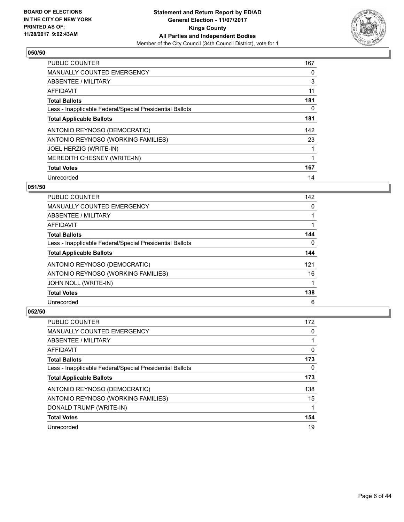

| <b>PUBLIC COUNTER</b>                                    | 167 |
|----------------------------------------------------------|-----|
| <b>MANUALLY COUNTED EMERGENCY</b>                        | 0   |
| ABSENTEE / MILITARY                                      | 3   |
| <b>AFFIDAVIT</b>                                         | 11  |
| <b>Total Ballots</b>                                     | 181 |
| Less - Inapplicable Federal/Special Presidential Ballots | 0   |
| <b>Total Applicable Ballots</b>                          | 181 |
| ANTONIO REYNOSO (DEMOCRATIC)                             | 142 |
| ANTONIO REYNOSO (WORKING FAMILIES)                       | 23  |
| JOEL HERZIG (WRITE-IN)                                   |     |
| MEREDITH CHESNEY (WRITE-IN)                              | 1   |
| <b>Total Votes</b>                                       | 167 |
| Unrecorded                                               | 14  |

## **051/50**

| <b>PUBLIC COUNTER</b>                                    | 142 |
|----------------------------------------------------------|-----|
| <b>MANUALLY COUNTED EMERGENCY</b>                        | 0   |
| ABSENTEE / MILITARY                                      |     |
| AFFIDAVIT                                                |     |
| <b>Total Ballots</b>                                     | 144 |
| Less - Inapplicable Federal/Special Presidential Ballots | 0   |
| <b>Total Applicable Ballots</b>                          | 144 |
| ANTONIO REYNOSO (DEMOCRATIC)                             | 121 |
| ANTONIO REYNOSO (WORKING FAMILIES)                       | 16  |
| <b>JOHN NOLL (WRITE-IN)</b>                              |     |
| <b>Total Votes</b>                                       | 138 |
| Unrecorded                                               | 6   |

| <b>PUBLIC COUNTER</b>                                    | 172 |
|----------------------------------------------------------|-----|
| <b>MANUALLY COUNTED EMERGENCY</b>                        | 0   |
| ABSENTEE / MILITARY                                      |     |
| AFFIDAVIT                                                | 0   |
| <b>Total Ballots</b>                                     | 173 |
| Less - Inapplicable Federal/Special Presidential Ballots | 0   |
| <b>Total Applicable Ballots</b>                          | 173 |
| ANTONIO REYNOSO (DEMOCRATIC)                             | 138 |
| ANTONIO REYNOSO (WORKING FAMILIES)                       | 15  |
| DONALD TRUMP (WRITE-IN)                                  |     |
| <b>Total Votes</b>                                       | 154 |
| Unrecorded                                               | 19  |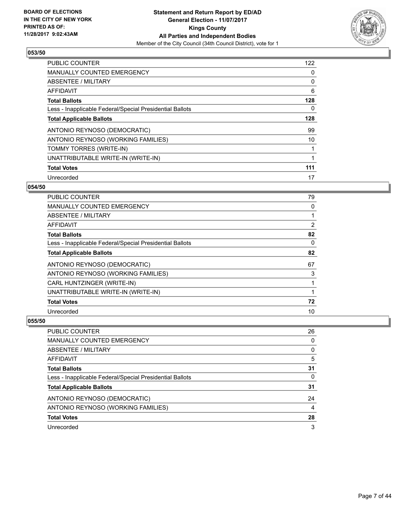

| <b>PUBLIC COUNTER</b>                                    | 122 |
|----------------------------------------------------------|-----|
| <b>MANUALLY COUNTED EMERGENCY</b>                        | 0   |
| ABSENTEE / MILITARY                                      | 0   |
| AFFIDAVIT                                                | 6   |
| <b>Total Ballots</b>                                     | 128 |
| Less - Inapplicable Federal/Special Presidential Ballots | 0   |
| <b>Total Applicable Ballots</b>                          | 128 |
| ANTONIO REYNOSO (DEMOCRATIC)                             | 99  |
| ANTONIO REYNOSO (WORKING FAMILIES)                       | 10  |
| TOMMY TORRES (WRITE-IN)                                  |     |
| UNATTRIBUTABLE WRITE-IN (WRITE-IN)                       | 1   |
| <b>Total Votes</b>                                       | 111 |
| Unrecorded                                               | 17  |

#### **054/50**

| <b>PUBLIC COUNTER</b>                                    | 79             |
|----------------------------------------------------------|----------------|
| MANUALLY COUNTED EMERGENCY                               | 0              |
| ABSENTEE / MILITARY                                      |                |
| AFFIDAVIT                                                | $\overline{2}$ |
| <b>Total Ballots</b>                                     | 82             |
| Less - Inapplicable Federal/Special Presidential Ballots | 0              |
| <b>Total Applicable Ballots</b>                          | 82             |
| ANTONIO REYNOSO (DEMOCRATIC)                             | 67             |
| ANTONIO REYNOSO (WORKING FAMILIES)                       | 3              |
| CARL HUNTZINGER (WRITE-IN)                               |                |
| UNATTRIBUTABLE WRITE-IN (WRITE-IN)                       |                |
| <b>Total Votes</b>                                       | 72             |
| Unrecorded                                               | 10             |

| <b>PUBLIC COUNTER</b>                                    | 26 |
|----------------------------------------------------------|----|
| MANUALLY COUNTED EMERGENCY                               | 0  |
| ABSENTEE / MILITARY                                      | 0  |
| AFFIDAVIT                                                | 5  |
| <b>Total Ballots</b>                                     | 31 |
| Less - Inapplicable Federal/Special Presidential Ballots | 0  |
| <b>Total Applicable Ballots</b>                          | 31 |
| ANTONIO REYNOSO (DEMOCRATIC)                             | 24 |
| ANTONIO REYNOSO (WORKING FAMILIES)                       | 4  |
| <b>Total Votes</b>                                       | 28 |
| Unrecorded                                               | 3  |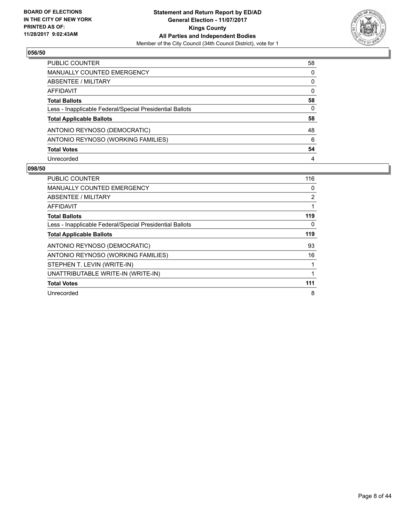

| PUBLIC COUNTER                                           | 58 |
|----------------------------------------------------------|----|
| MANUALLY COUNTED EMERGENCY                               | 0  |
| ABSENTEE / MILITARY                                      | 0  |
| AFFIDAVIT                                                | 0  |
| <b>Total Ballots</b>                                     | 58 |
| Less - Inapplicable Federal/Special Presidential Ballots | 0  |
| <b>Total Applicable Ballots</b>                          | 58 |
| ANTONIO REYNOSO (DEMOCRATIC)                             | 48 |
| ANTONIO REYNOSO (WORKING FAMILIES)                       | 6  |
| <b>Total Votes</b>                                       | 54 |
| Unrecorded                                               | 4  |

| <b>PUBLIC COUNTER</b>                                    | 116 |
|----------------------------------------------------------|-----|
| <b>MANUALLY COUNTED EMERGENCY</b>                        | 0   |
| <b>ABSENTEE / MILITARY</b>                               | 2   |
| <b>AFFIDAVIT</b>                                         |     |
| <b>Total Ballots</b>                                     | 119 |
| Less - Inapplicable Federal/Special Presidential Ballots | 0   |
| <b>Total Applicable Ballots</b>                          | 119 |
| ANTONIO REYNOSO (DEMOCRATIC)                             | 93  |
| ANTONIO REYNOSO (WORKING FAMILIES)                       | 16  |
| STEPHEN T. LEVIN (WRITE-IN)                              |     |
| UNATTRIBUTABLE WRITE-IN (WRITE-IN)                       |     |
| <b>Total Votes</b>                                       | 111 |
| Unrecorded                                               | 8   |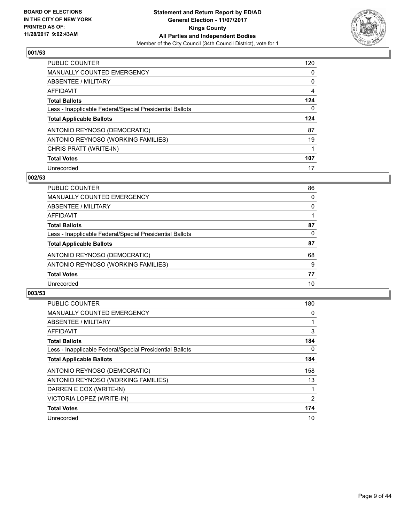

| <b>PUBLIC COUNTER</b>                                    | 120 |
|----------------------------------------------------------|-----|
| <b>MANUALLY COUNTED EMERGENCY</b>                        | 0   |
| ABSENTEE / MILITARY                                      | 0   |
| AFFIDAVIT                                                | 4   |
| <b>Total Ballots</b>                                     | 124 |
| Less - Inapplicable Federal/Special Presidential Ballots | 0   |
| <b>Total Applicable Ballots</b>                          | 124 |
| ANTONIO REYNOSO (DEMOCRATIC)                             | 87  |
| ANTONIO REYNOSO (WORKING FAMILIES)                       | 19  |
| CHRIS PRATT (WRITE-IN)                                   | 1   |
| <b>Total Votes</b>                                       | 107 |
| Unrecorded                                               | 17  |

#### **002/53**

| <b>PUBLIC COUNTER</b>                                    | 86 |
|----------------------------------------------------------|----|
| MANUALLY COUNTED EMERGENCY                               | 0  |
| ABSENTEE / MILITARY                                      | 0  |
| AFFIDAVIT                                                |    |
| <b>Total Ballots</b>                                     | 87 |
| Less - Inapplicable Federal/Special Presidential Ballots | 0  |
| <b>Total Applicable Ballots</b>                          | 87 |
| ANTONIO REYNOSO (DEMOCRATIC)                             | 68 |
| ANTONIO REYNOSO (WORKING FAMILIES)                       | 9  |
| <b>Total Votes</b>                                       | 77 |
| Unrecorded                                               | 10 |

| PUBLIC COUNTER                                           | 180 |
|----------------------------------------------------------|-----|
| MANUALLY COUNTED EMERGENCY                               | 0   |
| ABSENTEE / MILITARY                                      |     |
| <b>AFFIDAVIT</b>                                         | 3   |
| <b>Total Ballots</b>                                     | 184 |
| Less - Inapplicable Federal/Special Presidential Ballots | 0   |
| <b>Total Applicable Ballots</b>                          | 184 |
| ANTONIO REYNOSO (DEMOCRATIC)                             | 158 |
| ANTONIO REYNOSO (WORKING FAMILIES)                       | 13  |
| DARREN E COX (WRITE-IN)                                  |     |
| VICTORIA LOPEZ (WRITE-IN)                                | 2   |
| <b>Total Votes</b>                                       | 174 |
| Unrecorded                                               | 10  |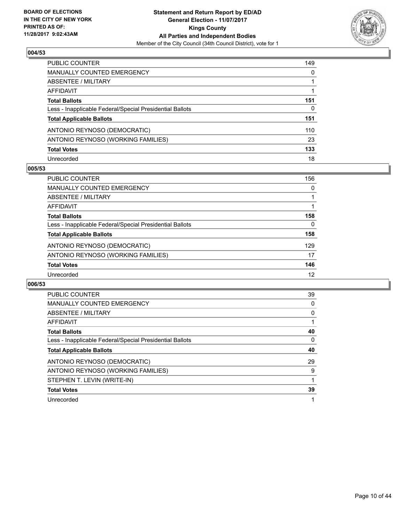

| <b>PUBLIC COUNTER</b>                                    | 149 |
|----------------------------------------------------------|-----|
| <b>MANUALLY COUNTED EMERGENCY</b>                        | 0   |
| ABSENTEE / MILITARY                                      |     |
| AFFIDAVIT                                                |     |
| <b>Total Ballots</b>                                     | 151 |
| Less - Inapplicable Federal/Special Presidential Ballots | 0   |
| <b>Total Applicable Ballots</b>                          | 151 |
| ANTONIO REYNOSO (DEMOCRATIC)                             | 110 |
| ANTONIO REYNOSO (WORKING FAMILIES)                       | 23  |
| <b>Total Votes</b>                                       | 133 |
| Unrecorded                                               | 18  |

#### **005/53**

| <b>PUBLIC COUNTER</b>                                    | 156 |
|----------------------------------------------------------|-----|
| <b>MANUALLY COUNTED EMERGENCY</b>                        | 0   |
| ABSENTEE / MILITARY                                      |     |
| AFFIDAVIT                                                |     |
| <b>Total Ballots</b>                                     | 158 |
| Less - Inapplicable Federal/Special Presidential Ballots | 0   |
| <b>Total Applicable Ballots</b>                          | 158 |
| ANTONIO REYNOSO (DEMOCRATIC)                             | 129 |
| ANTONIO REYNOSO (WORKING FAMILIES)                       | 17  |
| <b>Total Votes</b>                                       | 146 |
| Unrecorded                                               | 12  |

| <b>PUBLIC COUNTER</b>                                    | 39 |
|----------------------------------------------------------|----|
| <b>MANUALLY COUNTED EMERGENCY</b>                        | 0  |
| ABSENTEE / MILITARY                                      | 0  |
| AFFIDAVIT                                                |    |
| <b>Total Ballots</b>                                     | 40 |
| Less - Inapplicable Federal/Special Presidential Ballots | 0  |
| <b>Total Applicable Ballots</b>                          | 40 |
| ANTONIO REYNOSO (DEMOCRATIC)                             | 29 |
| ANTONIO REYNOSO (WORKING FAMILIES)                       | 9  |
| STEPHEN T. LEVIN (WRITE-IN)                              |    |
|                                                          |    |
| <b>Total Votes</b>                                       | 39 |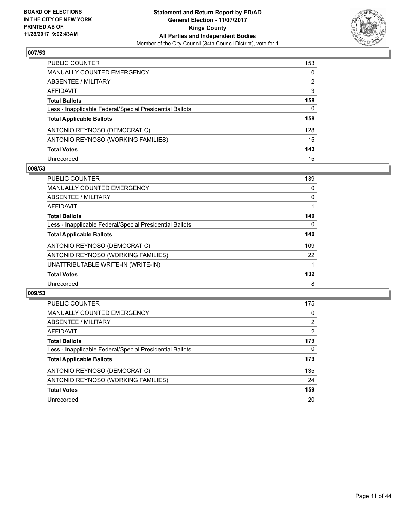

| <b>PUBLIC COUNTER</b>                                    | 153 |
|----------------------------------------------------------|-----|
| <b>MANUALLY COUNTED EMERGENCY</b>                        | 0   |
| ABSENTEE / MILITARY                                      | 2   |
| AFFIDAVIT                                                | 3   |
| <b>Total Ballots</b>                                     | 158 |
| Less - Inapplicable Federal/Special Presidential Ballots | 0   |
| <b>Total Applicable Ballots</b>                          | 158 |
| ANTONIO REYNOSO (DEMOCRATIC)                             | 128 |
| ANTONIO REYNOSO (WORKING FAMILIES)                       | 15  |
| <b>Total Votes</b>                                       | 143 |
| Unrecorded                                               | 15  |

#### **008/53**

| <b>PUBLIC COUNTER</b>                                    | 139 |
|----------------------------------------------------------|-----|
| <b>MANUALLY COUNTED EMERGENCY</b>                        | 0   |
| ABSENTEE / MILITARY                                      | 0   |
| AFFIDAVIT                                                |     |
| <b>Total Ballots</b>                                     | 140 |
| Less - Inapplicable Federal/Special Presidential Ballots | 0   |
| <b>Total Applicable Ballots</b>                          | 140 |
| ANTONIO REYNOSO (DEMOCRATIC)                             | 109 |
| ANTONIO REYNOSO (WORKING FAMILIES)                       | 22  |
| UNATTRIBUTABLE WRITE-IN (WRITE-IN)                       |     |
| <b>Total Votes</b>                                       | 132 |
| Unrecorded                                               | 8   |

| <b>PUBLIC COUNTER</b>                                    | 175 |
|----------------------------------------------------------|-----|
| MANUALLY COUNTED EMERGENCY                               | 0   |
| ABSENTEE / MILITARY                                      | 2   |
| AFFIDAVIT                                                | 2   |
| <b>Total Ballots</b>                                     | 179 |
| Less - Inapplicable Federal/Special Presidential Ballots | 0   |
| <b>Total Applicable Ballots</b>                          | 179 |
| ANTONIO REYNOSO (DEMOCRATIC)                             | 135 |
| ANTONIO REYNOSO (WORKING FAMILIES)                       | 24  |
| <b>Total Votes</b>                                       | 159 |
| Unrecorded                                               | 20  |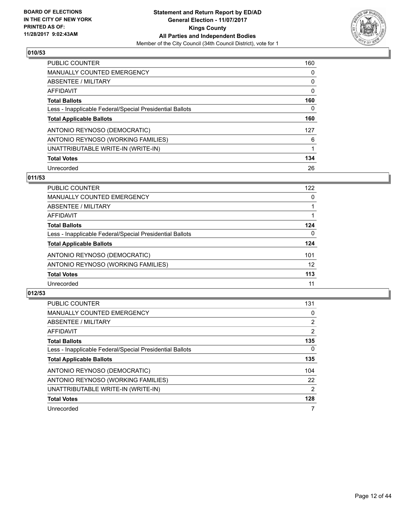

| <b>PUBLIC COUNTER</b>                                    | 160 |
|----------------------------------------------------------|-----|
| <b>MANUALLY COUNTED EMERGENCY</b>                        | 0   |
| ABSENTEE / MILITARY                                      | 0   |
| AFFIDAVIT                                                | 0   |
| <b>Total Ballots</b>                                     | 160 |
| Less - Inapplicable Federal/Special Presidential Ballots | 0   |
| <b>Total Applicable Ballots</b>                          | 160 |
| ANTONIO REYNOSO (DEMOCRATIC)                             | 127 |
| ANTONIO REYNOSO (WORKING FAMILIES)                       | 6   |
| UNATTRIBUTABLE WRITE-IN (WRITE-IN)                       |     |
| <b>Total Votes</b>                                       | 134 |
| Unrecorded                                               | 26  |

#### **011/53**

| PUBLIC COUNTER                                           | 122 |
|----------------------------------------------------------|-----|
| MANUALLY COUNTED EMERGENCY                               | 0   |
| ABSENTEE / MILITARY                                      |     |
| <b>AFFIDAVIT</b>                                         |     |
| <b>Total Ballots</b>                                     | 124 |
| Less - Inapplicable Federal/Special Presidential Ballots | 0   |
| <b>Total Applicable Ballots</b>                          | 124 |
| ANTONIO REYNOSO (DEMOCRATIC)                             | 101 |
| ANTONIO REYNOSO (WORKING FAMILIES)                       | 12  |
| <b>Total Votes</b>                                       | 113 |
| Unrecorded                                               | 11  |

| <b>PUBLIC COUNTER</b>                                    | 131            |
|----------------------------------------------------------|----------------|
| <b>MANUALLY COUNTED EMERGENCY</b>                        | 0              |
| ABSENTEE / MILITARY                                      | $\overline{2}$ |
| AFFIDAVIT                                                | $\overline{2}$ |
| <b>Total Ballots</b>                                     | 135            |
| Less - Inapplicable Federal/Special Presidential Ballots | $\Omega$       |
| <b>Total Applicable Ballots</b>                          | 135            |
| ANTONIO REYNOSO (DEMOCRATIC)                             | 104            |
| ANTONIO REYNOSO (WORKING FAMILIES)                       | 22             |
| UNATTRIBUTABLE WRITE-IN (WRITE-IN)                       | 2              |
| <b>Total Votes</b>                                       | 128            |
| Unrecorded                                               | 7              |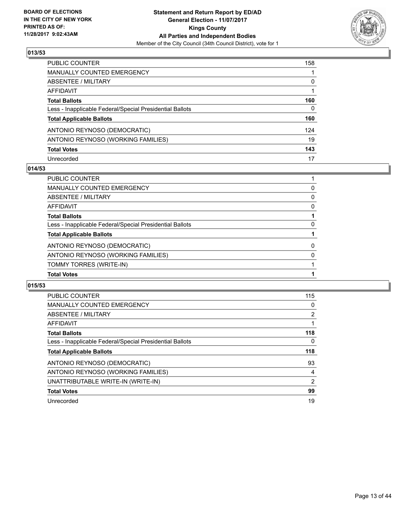

| <b>PUBLIC COUNTER</b>                                    | 158          |
|----------------------------------------------------------|--------------|
| <b>MANUALLY COUNTED EMERGENCY</b>                        |              |
| <b>ABSENTEE / MILITARY</b>                               | 0            |
| <b>AFFIDAVIT</b>                                         |              |
| <b>Total Ballots</b>                                     | 160          |
| Less - Inapplicable Federal/Special Presidential Ballots | $\mathbf{0}$ |
| <b>Total Applicable Ballots</b>                          | 160          |
| ANTONIO REYNOSO (DEMOCRATIC)                             | 124          |
| ANTONIO REYNOSO (WORKING FAMILIES)                       | 19           |
| <b>Total Votes</b>                                       | 143          |
| Unrecorded                                               | 17           |

#### **014/53**

| <b>PUBLIC COUNTER</b>                                    |          |
|----------------------------------------------------------|----------|
| MANUALLY COUNTED EMERGENCY                               | 0        |
| ABSENTEE / MILITARY                                      | 0        |
| AFFIDAVIT                                                | 0        |
| <b>Total Ballots</b>                                     |          |
| Less - Inapplicable Federal/Special Presidential Ballots | 0        |
| <b>Total Applicable Ballots</b>                          |          |
| ANTONIO REYNOSO (DEMOCRATIC)                             | $\Omega$ |
| ANTONIO REYNOSO (WORKING FAMILIES)                       | $\Omega$ |
| TOMMY TORRES (WRITE-IN)                                  |          |
| <b>Total Votes</b>                                       |          |

| <b>PUBLIC COUNTER</b>                                    | 115            |
|----------------------------------------------------------|----------------|
|                                                          |                |
| <b>MANUALLY COUNTED EMERGENCY</b>                        | 0              |
| <b>ABSENTEE / MILITARY</b>                               | 2              |
| AFFIDAVIT                                                |                |
| <b>Total Ballots</b>                                     | 118            |
| Less - Inapplicable Federal/Special Presidential Ballots | 0              |
| <b>Total Applicable Ballots</b>                          | 118            |
| ANTONIO REYNOSO (DEMOCRATIC)                             | 93             |
| ANTONIO REYNOSO (WORKING FAMILIES)                       | 4              |
| UNATTRIBUTABLE WRITE-IN (WRITE-IN)                       | $\overline{2}$ |
| <b>Total Votes</b>                                       | 99             |
| Unrecorded                                               | 19             |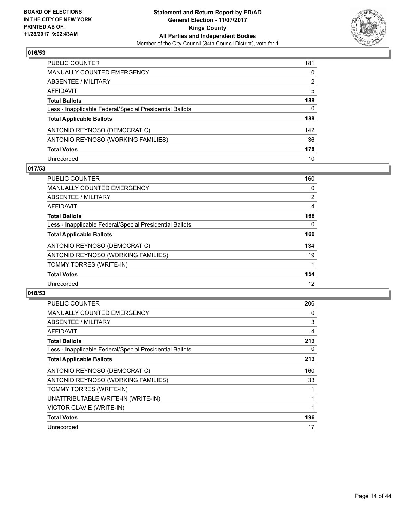

| <b>PUBLIC COUNTER</b>                                    | 181          |
|----------------------------------------------------------|--------------|
| <b>MANUALLY COUNTED EMERGENCY</b>                        | 0            |
| <b>ABSENTEE / MILITARY</b>                               | 2            |
| <b>AFFIDAVIT</b>                                         | 5            |
| <b>Total Ballots</b>                                     | 188          |
| Less - Inapplicable Federal/Special Presidential Ballots | $\mathbf{0}$ |
| <b>Total Applicable Ballots</b>                          | 188          |
| ANTONIO REYNOSO (DEMOCRATIC)                             | 142          |
| ANTONIO REYNOSO (WORKING FAMILIES)                       | 36           |
| <b>Total Votes</b>                                       | 178          |
| Unrecorded                                               | 10           |

#### **017/53**

| <b>PUBLIC COUNTER</b>                                    | 160            |
|----------------------------------------------------------|----------------|
| <b>MANUALLY COUNTED EMERGENCY</b>                        | 0              |
| ABSENTEE / MILITARY                                      | $\overline{2}$ |
| AFFIDAVIT                                                | 4              |
| <b>Total Ballots</b>                                     | 166            |
| Less - Inapplicable Federal/Special Presidential Ballots | $\Omega$       |
| <b>Total Applicable Ballots</b>                          | 166            |
| ANTONIO REYNOSO (DEMOCRATIC)                             | 134            |
| ANTONIO REYNOSO (WORKING FAMILIES)                       | 19             |
| TOMMY TORRES (WRITE-IN)                                  |                |
| <b>Total Votes</b>                                       | 154            |
| Unrecorded                                               | 12             |

| <b>PUBLIC COUNTER</b>                                    | 206 |
|----------------------------------------------------------|-----|
| <b>MANUALLY COUNTED EMERGENCY</b>                        | 0   |
| ABSENTEE / MILITARY                                      | 3   |
| AFFIDAVIT                                                | 4   |
| <b>Total Ballots</b>                                     | 213 |
| Less - Inapplicable Federal/Special Presidential Ballots | 0   |
| <b>Total Applicable Ballots</b>                          | 213 |
| ANTONIO REYNOSO (DEMOCRATIC)                             | 160 |
| ANTONIO REYNOSO (WORKING FAMILIES)                       | 33  |
| TOMMY TORRES (WRITE-IN)                                  |     |
| UNATTRIBUTABLE WRITE-IN (WRITE-IN)                       |     |
| VICTOR CLAVIE (WRITE-IN)                                 |     |
| <b>Total Votes</b>                                       | 196 |
| Unrecorded                                               | 17  |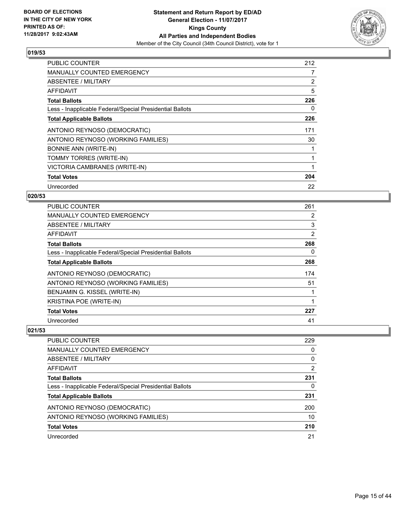

| <b>PUBLIC COUNTER</b>                                    | 212 |
|----------------------------------------------------------|-----|
| <b>MANUALLY COUNTED EMERGENCY</b>                        | 7   |
| <b>ABSENTEE / MILITARY</b>                               | 2   |
| AFFIDAVIT                                                | 5   |
| <b>Total Ballots</b>                                     | 226 |
| Less - Inapplicable Federal/Special Presidential Ballots | 0   |
| <b>Total Applicable Ballots</b>                          | 226 |
| ANTONIO REYNOSO (DEMOCRATIC)                             | 171 |
| ANTONIO REYNOSO (WORKING FAMILIES)                       | 30  |
| <b>BONNIE ANN (WRITE-IN)</b>                             |     |
| TOMMY TORRES (WRITE-IN)                                  |     |
| VICTORIA CAMBRANES (WRITE-IN)                            |     |
| <b>Total Votes</b>                                       | 204 |
| Unrecorded                                               | 22  |

## **020/53**

| <b>PUBLIC COUNTER</b>                                    | 261 |
|----------------------------------------------------------|-----|
| <b>MANUALLY COUNTED EMERGENCY</b>                        | 2   |
| ABSENTEE / MILITARY                                      | 3   |
| AFFIDAVIT                                                | 2   |
| <b>Total Ballots</b>                                     | 268 |
| Less - Inapplicable Federal/Special Presidential Ballots | 0   |
| <b>Total Applicable Ballots</b>                          | 268 |
| ANTONIO REYNOSO (DEMOCRATIC)                             | 174 |
| ANTONIO REYNOSO (WORKING FAMILIES)                       | 51  |
| BENJAMIN G. KISSEL (WRITE-IN)                            |     |
| KRISTINA POE (WRITE-IN)                                  | 1   |
| <b>Total Votes</b>                                       | 227 |
| Unrecorded                                               | 41  |

| <b>PUBLIC COUNTER</b>                                    | 229      |
|----------------------------------------------------------|----------|
| MANUALLY COUNTED EMERGENCY                               | 0        |
| ABSENTEE / MILITARY                                      | $\Omega$ |
| AFFIDAVIT                                                | 2        |
| <b>Total Ballots</b>                                     | 231      |
| Less - Inapplicable Federal/Special Presidential Ballots | 0        |
| <b>Total Applicable Ballots</b>                          | 231      |
| ANTONIO REYNOSO (DEMOCRATIC)                             | 200      |
| ANTONIO REYNOSO (WORKING FAMILIES)                       | 10       |
| <b>Total Votes</b>                                       | 210      |
| Unrecorded                                               | 21       |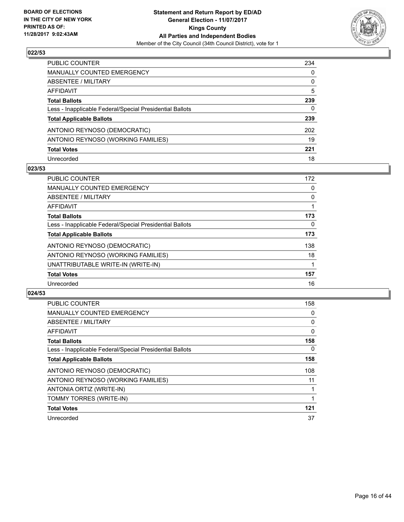

| <b>PUBLIC COUNTER</b>                                    | 234          |
|----------------------------------------------------------|--------------|
| <b>MANUALLY COUNTED EMERGENCY</b>                        | 0            |
| <b>ABSENTEE / MILITARY</b>                               | 0            |
| <b>AFFIDAVIT</b>                                         | 5            |
| <b>Total Ballots</b>                                     | 239          |
| Less - Inapplicable Federal/Special Presidential Ballots | $\mathbf{0}$ |
| <b>Total Applicable Ballots</b>                          | 239          |
| ANTONIO REYNOSO (DEMOCRATIC)                             | 202          |
| ANTONIO REYNOSO (WORKING FAMILIES)                       | 19           |
| <b>Total Votes</b>                                       | 221          |
| Unrecorded                                               | 18           |

#### **023/53**

| <b>PUBLIC COUNTER</b>                                    | 172 |
|----------------------------------------------------------|-----|
| <b>MANUALLY COUNTED EMERGENCY</b>                        | 0   |
| <b>ABSENTEE / MILITARY</b>                               | 0   |
| <b>AFFIDAVIT</b>                                         |     |
| <b>Total Ballots</b>                                     | 173 |
| Less - Inapplicable Federal/Special Presidential Ballots | 0   |
| <b>Total Applicable Ballots</b>                          | 173 |
| ANTONIO REYNOSO (DEMOCRATIC)                             | 138 |
| ANTONIO REYNOSO (WORKING FAMILIES)                       | 18  |
| UNATTRIBUTABLE WRITE-IN (WRITE-IN)                       |     |
| <b>Total Votes</b>                                       | 157 |
| Unrecorded                                               | 16  |

| <b>PUBLIC COUNTER</b>                                    | 158 |
|----------------------------------------------------------|-----|
| <b>MANUALLY COUNTED EMERGENCY</b>                        | 0   |
| ABSENTEE / MILITARY                                      | 0   |
| <b>AFFIDAVIT</b>                                         | 0   |
| <b>Total Ballots</b>                                     | 158 |
| Less - Inapplicable Federal/Special Presidential Ballots | 0   |
| <b>Total Applicable Ballots</b>                          | 158 |
| ANTONIO REYNOSO (DEMOCRATIC)                             | 108 |
| ANTONIO REYNOSO (WORKING FAMILIES)                       | 11  |
| ANTONIA ORTIZ (WRITE-IN)                                 |     |
| TOMMY TORRES (WRITE-IN)                                  |     |
| <b>Total Votes</b>                                       | 121 |
| Unrecorded                                               | 37  |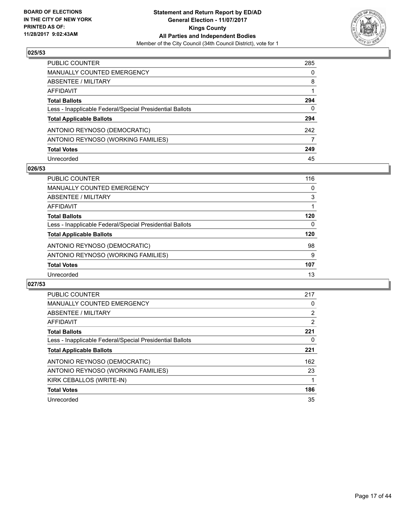

| PUBLIC COUNTER                                           | 285 |
|----------------------------------------------------------|-----|
| MANUALLY COUNTED EMERGENCY                               | 0   |
| <b>ABSENTEE / MILITARY</b>                               | 8   |
| AFFIDAVIT                                                |     |
| <b>Total Ballots</b>                                     | 294 |
| Less - Inapplicable Federal/Special Presidential Ballots | 0   |
| <b>Total Applicable Ballots</b>                          | 294 |
| ANTONIO REYNOSO (DEMOCRATIC)                             | 242 |
| ANTONIO REYNOSO (WORKING FAMILIES)                       | 7   |
| <b>Total Votes</b>                                       | 249 |
| Unrecorded                                               | 45  |

#### **026/53**

| <b>PUBLIC COUNTER</b>                                    | 116 |
|----------------------------------------------------------|-----|
| <b>MANUALLY COUNTED EMERGENCY</b>                        | 0   |
| ABSENTEE / MILITARY                                      | 3   |
| AFFIDAVIT                                                |     |
| <b>Total Ballots</b>                                     | 120 |
| Less - Inapplicable Federal/Special Presidential Ballots | 0   |
| <b>Total Applicable Ballots</b>                          | 120 |
| ANTONIO REYNOSO (DEMOCRATIC)                             | 98  |
| ANTONIO REYNOSO (WORKING FAMILIES)                       | 9   |
| <b>Total Votes</b>                                       | 107 |
| Unrecorded                                               | 13  |

| <b>PUBLIC COUNTER</b>                                    | 217                   |
|----------------------------------------------------------|-----------------------|
| <b>MANUALLY COUNTED EMERGENCY</b>                        | 0                     |
| ABSENTEE / MILITARY                                      | $\mathbf{2}^{\prime}$ |
| AFFIDAVIT                                                | 2                     |
| <b>Total Ballots</b>                                     | 221                   |
| Less - Inapplicable Federal/Special Presidential Ballots | 0                     |
| <b>Total Applicable Ballots</b>                          | 221                   |
| ANTONIO REYNOSO (DEMOCRATIC)                             | 162                   |
| ANTONIO REYNOSO (WORKING FAMILIES)                       | 23                    |
| KIRK CEBALLOS (WRITE-IN)                                 |                       |
| <b>Total Votes</b>                                       | 186                   |
| Unrecorded                                               | 35                    |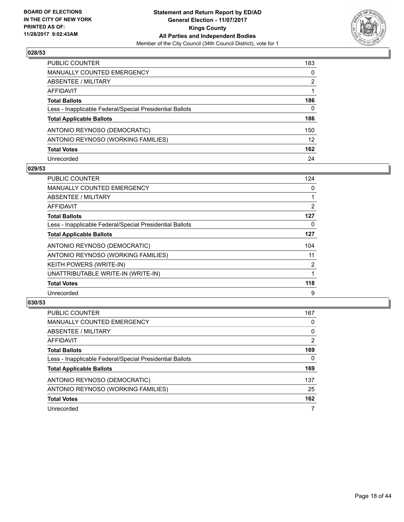

| <b>PUBLIC COUNTER</b>                                    | 183             |
|----------------------------------------------------------|-----------------|
| <b>MANUALLY COUNTED EMERGENCY</b>                        | 0               |
| <b>ABSENTEE / MILITARY</b>                               | 2               |
| <b>AFFIDAVIT</b>                                         |                 |
| <b>Total Ballots</b>                                     | 186             |
| Less - Inapplicable Federal/Special Presidential Ballots | $\mathbf{0}$    |
| <b>Total Applicable Ballots</b>                          | 186             |
| ANTONIO REYNOSO (DEMOCRATIC)                             | 150             |
| ANTONIO REYNOSO (WORKING FAMILIES)                       | 12 <sup>2</sup> |
| <b>Total Votes</b>                                       | 162             |
| Unrecorded                                               | 24              |

#### **029/53**

| <b>PUBLIC COUNTER</b>                                    | 124            |
|----------------------------------------------------------|----------------|
| <b>MANUALLY COUNTED EMERGENCY</b>                        | 0              |
| <b>ABSENTEE / MILITARY</b>                               |                |
| AFFIDAVIT                                                | $\overline{2}$ |
| <b>Total Ballots</b>                                     | 127            |
| Less - Inapplicable Federal/Special Presidential Ballots | 0              |
| <b>Total Applicable Ballots</b>                          | 127            |
| ANTONIO REYNOSO (DEMOCRATIC)                             | 104            |
| ANTONIO REYNOSO (WORKING FAMILIES)                       | 11             |
| <b>KEITH POWERS (WRITE-IN)</b>                           | $\overline{2}$ |
| UNATTRIBUTABLE WRITE-IN (WRITE-IN)                       |                |
| <b>Total Votes</b>                                       | 118            |
| Unrecorded                                               | 9              |

| <b>PUBLIC COUNTER</b>                                    | 167            |
|----------------------------------------------------------|----------------|
| MANUALLY COUNTED EMERGENCY                               | 0              |
| ABSENTEE / MILITARY                                      | 0              |
| AFFIDAVIT                                                | $\overline{2}$ |
| <b>Total Ballots</b>                                     | 169            |
| Less - Inapplicable Federal/Special Presidential Ballots | 0              |
| <b>Total Applicable Ballots</b>                          | 169            |
| ANTONIO REYNOSO (DEMOCRATIC)                             | 137            |
| ANTONIO REYNOSO (WORKING FAMILIES)                       | 25             |
| <b>Total Votes</b>                                       | 162            |
| Unrecorded                                               |                |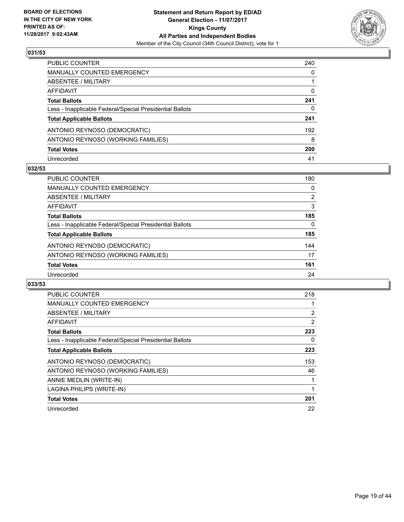

| PUBLIC COUNTER                                           | 240 |
|----------------------------------------------------------|-----|
| <b>MANUALLY COUNTED EMERGENCY</b>                        | 0   |
| <b>ABSENTEE / MILITARY</b>                               |     |
| AFFIDAVIT                                                | 0   |
| <b>Total Ballots</b>                                     | 241 |
| Less - Inapplicable Federal/Special Presidential Ballots | 0   |
| <b>Total Applicable Ballots</b>                          | 241 |
| ANTONIO REYNOSO (DEMOCRATIC)                             | 192 |
| ANTONIO REYNOSO (WORKING FAMILIES)                       | 8   |
| <b>Total Votes</b>                                       | 200 |
| Unrecorded                                               | 41  |

#### **032/53**

| <b>PUBLIC COUNTER</b>                                    | 180 |
|----------------------------------------------------------|-----|
| <b>MANUALLY COUNTED EMERGENCY</b>                        | 0   |
| ABSENTEE / MILITARY                                      | 2   |
| AFFIDAVIT                                                | 3   |
| <b>Total Ballots</b>                                     | 185 |
| Less - Inapplicable Federal/Special Presidential Ballots | 0   |
| <b>Total Applicable Ballots</b>                          | 185 |
| ANTONIO REYNOSO (DEMOCRATIC)                             | 144 |
| ANTONIO REYNOSO (WORKING FAMILIES)                       | 17  |
| <b>Total Votes</b>                                       | 161 |
| Unrecorded                                               | 24  |

| <b>PUBLIC COUNTER</b>                                    | 218            |
|----------------------------------------------------------|----------------|
| <b>MANUALLY COUNTED EMERGENCY</b>                        |                |
| ABSENTEE / MILITARY                                      | $\overline{2}$ |
| AFFIDAVIT                                                | 2              |
| <b>Total Ballots</b>                                     | 223            |
| Less - Inapplicable Federal/Special Presidential Ballots | 0              |
| <b>Total Applicable Ballots</b>                          | 223            |
| ANTONIO REYNOSO (DEMOCRATIC)                             | 153            |
| ANTONIO REYNOSO (WORKING FAMILIES)                       | 46             |
| ANNIE MEDLIN (WRITE-IN)                                  |                |
| LAGINA PHILIPS (WRITE-IN)                                |                |
| <b>Total Votes</b>                                       | 201            |
| Unrecorded                                               | 22             |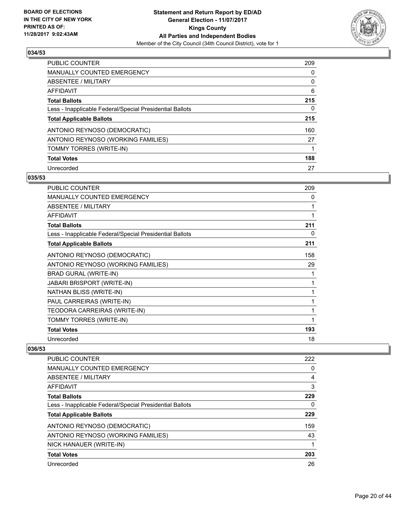

| <b>PUBLIC COUNTER</b>                                    | 209 |
|----------------------------------------------------------|-----|
| <b>MANUALLY COUNTED EMERGENCY</b>                        | 0   |
| ABSENTEE / MILITARY                                      | 0   |
| AFFIDAVIT                                                | 6   |
| <b>Total Ballots</b>                                     | 215 |
| Less - Inapplicable Federal/Special Presidential Ballots | 0   |
| <b>Total Applicable Ballots</b>                          | 215 |
| ANTONIO REYNOSO (DEMOCRATIC)                             | 160 |
| ANTONIO REYNOSO (WORKING FAMILIES)                       | 27  |
| TOMMY TORRES (WRITE-IN)                                  |     |
| <b>Total Votes</b>                                       | 188 |
| Unrecorded                                               | 27  |

#### **035/53**

| <b>PUBLIC COUNTER</b>                                    | 209 |
|----------------------------------------------------------|-----|
| <b>MANUALLY COUNTED EMERGENCY</b>                        | 0   |
| <b>ABSENTEE / MILITARY</b>                               | 1   |
| <b>AFFIDAVIT</b>                                         | 1   |
| <b>Total Ballots</b>                                     | 211 |
| Less - Inapplicable Federal/Special Presidential Ballots | 0   |
| <b>Total Applicable Ballots</b>                          | 211 |
| ANTONIO REYNOSO (DEMOCRATIC)                             | 158 |
| ANTONIO REYNOSO (WORKING FAMILIES)                       | 29  |
| BRAD GURAL (WRITE-IN)                                    | 1   |
| JABARI BRISPORT (WRITE-IN)                               | 1   |
| NATHAN BLISS (WRITE-IN)                                  | 1   |
| PAUL CARREIRAS (WRITE-IN)                                | 1   |
| TEODORA CARREIRAS (WRITE-IN)                             | 1   |
| TOMMY TORRES (WRITE-IN)                                  | 1   |
| <b>Total Votes</b>                                       | 193 |
| Unrecorded                                               | 18  |

| <b>PUBLIC COUNTER</b>                                    | 222 |
|----------------------------------------------------------|-----|
| <b>MANUALLY COUNTED EMERGENCY</b>                        | 0   |
| ABSENTEE / MILITARY                                      | 4   |
| AFFIDAVIT                                                | 3   |
| <b>Total Ballots</b>                                     | 229 |
| Less - Inapplicable Federal/Special Presidential Ballots | 0   |
| <b>Total Applicable Ballots</b>                          | 229 |
| ANTONIO REYNOSO (DEMOCRATIC)                             | 159 |
| ANTONIO REYNOSO (WORKING FAMILIES)                       | 43  |
| NICK HANAUER (WRITE-IN)                                  |     |
| <b>Total Votes</b>                                       | 203 |
| Unrecorded                                               | 26  |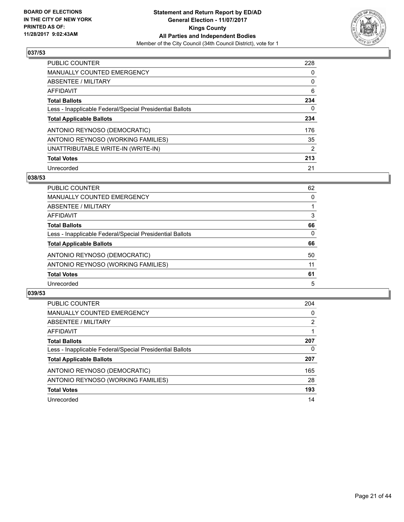

| <b>PUBLIC COUNTER</b>                                    | 228 |
|----------------------------------------------------------|-----|
| <b>MANUALLY COUNTED EMERGENCY</b>                        | 0   |
| ABSENTEE / MILITARY                                      | 0   |
| AFFIDAVIT                                                | 6   |
| <b>Total Ballots</b>                                     | 234 |
| Less - Inapplicable Federal/Special Presidential Ballots | 0   |
| <b>Total Applicable Ballots</b>                          | 234 |
| ANTONIO REYNOSO (DEMOCRATIC)                             | 176 |
| ANTONIO REYNOSO (WORKING FAMILIES)                       | 35  |
| UNATTRIBUTABLE WRITE-IN (WRITE-IN)                       | 2   |
| <b>Total Votes</b>                                       | 213 |
| Unrecorded                                               | 21  |

#### **038/53**

| <b>PUBLIC COUNTER</b>                                    | 62 |
|----------------------------------------------------------|----|
| MANUALLY COUNTED EMERGENCY                               | 0  |
| ABSENTEE / MILITARY                                      |    |
| AFFIDAVIT                                                | 3  |
| <b>Total Ballots</b>                                     | 66 |
| Less - Inapplicable Federal/Special Presidential Ballots | 0  |
| <b>Total Applicable Ballots</b>                          | 66 |
| ANTONIO REYNOSO (DEMOCRATIC)                             | 50 |
| ANTONIO REYNOSO (WORKING FAMILIES)                       | 11 |
| <b>Total Votes</b>                                       | 61 |
| Unrecorded                                               | 5  |

| <b>PUBLIC COUNTER</b>                                    | 204 |
|----------------------------------------------------------|-----|
| <b>MANUALLY COUNTED EMERGENCY</b>                        | 0   |
| ABSENTEE / MILITARY                                      | 2   |
| AFFIDAVIT                                                |     |
| <b>Total Ballots</b>                                     | 207 |
| Less - Inapplicable Federal/Special Presidential Ballots | 0   |
| <b>Total Applicable Ballots</b>                          | 207 |
| ANTONIO REYNOSO (DEMOCRATIC)                             | 165 |
| ANTONIO REYNOSO (WORKING FAMILIES)                       | 28  |
| <b>Total Votes</b>                                       | 193 |
| Unrecorded                                               | 14  |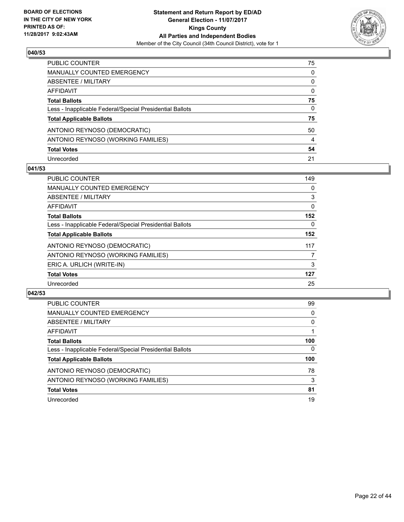

| PUBLIC COUNTER                                           | 75           |
|----------------------------------------------------------|--------------|
| <b>MANUALLY COUNTED EMERGENCY</b>                        | $\mathbf{0}$ |
| <b>ABSENTEE / MILITARY</b>                               | $\mathbf{0}$ |
| AFFIDAVIT                                                | $\mathbf{0}$ |
| <b>Total Ballots</b>                                     | 75           |
| Less - Inapplicable Federal/Special Presidential Ballots | 0            |
| <b>Total Applicable Ballots</b>                          | 75           |
| ANTONIO REYNOSO (DEMOCRATIC)                             | 50           |
| ANTONIO REYNOSO (WORKING FAMILIES)                       | 4            |
| <b>Total Votes</b>                                       | 54           |
| Unrecorded                                               | 21           |

#### **041/53**

| <b>PUBLIC COUNTER</b>                                    | 149 |
|----------------------------------------------------------|-----|
| <b>MANUALLY COUNTED EMERGENCY</b>                        | 0   |
| ABSENTEE / MILITARY                                      | 3   |
| AFFIDAVIT                                                | 0   |
| <b>Total Ballots</b>                                     | 152 |
| Less - Inapplicable Federal/Special Presidential Ballots | 0   |
| <b>Total Applicable Ballots</b>                          | 152 |
| ANTONIO REYNOSO (DEMOCRATIC)                             | 117 |
| ANTONIO REYNOSO (WORKING FAMILIES)                       | 7   |
| ERIC A. URLICH (WRITE-IN)                                | 3   |
| <b>Total Votes</b>                                       | 127 |
| Unrecorded                                               | 25  |

| <b>PUBLIC COUNTER</b>                                    | 99  |
|----------------------------------------------------------|-----|
| MANUALLY COUNTED EMERGENCY                               | 0   |
| ABSENTEE / MILITARY                                      | 0   |
| AFFIDAVIT                                                |     |
| <b>Total Ballots</b>                                     | 100 |
| Less - Inapplicable Federal/Special Presidential Ballots | 0   |
| <b>Total Applicable Ballots</b>                          | 100 |
| ANTONIO REYNOSO (DEMOCRATIC)                             | 78  |
| ANTONIO REYNOSO (WORKING FAMILIES)                       | 3   |
| <b>Total Votes</b>                                       | 81  |
| Unrecorded                                               | 19  |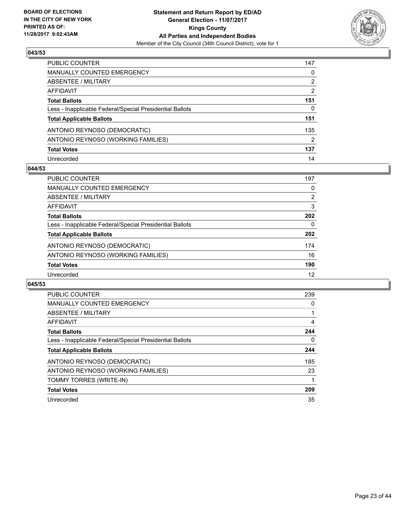

| PUBLIC COUNTER                                           | 147 |
|----------------------------------------------------------|-----|
| <b>MANUALLY COUNTED EMERGENCY</b>                        | 0   |
| ABSENTEE / MILITARY                                      | 2   |
| AFFIDAVIT                                                | 2   |
| <b>Total Ballots</b>                                     | 151 |
| Less - Inapplicable Federal/Special Presidential Ballots | 0   |
| <b>Total Applicable Ballots</b>                          | 151 |
| ANTONIO REYNOSO (DEMOCRATIC)                             | 135 |
| ANTONIO REYNOSO (WORKING FAMILIES)                       | 2   |
| <b>Total Votes</b>                                       | 137 |
| Unrecorded                                               | 14  |

#### **044/53**

| <b>PUBLIC COUNTER</b>                                    | 197 |
|----------------------------------------------------------|-----|
| MANUALLY COUNTED EMERGENCY                               | 0   |
| ABSENTEE / MILITARY                                      | 2   |
| AFFIDAVIT                                                | 3   |
| <b>Total Ballots</b>                                     | 202 |
| Less - Inapplicable Federal/Special Presidential Ballots | 0   |
| <b>Total Applicable Ballots</b>                          | 202 |
| ANTONIO REYNOSO (DEMOCRATIC)                             | 174 |
| ANTONIO REYNOSO (WORKING FAMILIES)                       | 16  |
| <b>Total Votes</b>                                       | 190 |
| Unrecorded                                               | 12  |

| <b>PUBLIC COUNTER</b>                                    | 239 |
|----------------------------------------------------------|-----|
| <b>MANUALLY COUNTED EMERGENCY</b>                        | 0   |
| ABSENTEE / MILITARY                                      |     |
| AFFIDAVIT                                                | 4   |
| <b>Total Ballots</b>                                     | 244 |
| Less - Inapplicable Federal/Special Presidential Ballots | 0   |
| <b>Total Applicable Ballots</b>                          | 244 |
| ANTONIO REYNOSO (DEMOCRATIC)                             | 185 |
| ANTONIO REYNOSO (WORKING FAMILIES)                       | 23  |
| TOMMY TORRES (WRITE-IN)                                  |     |
| <b>Total Votes</b>                                       | 209 |
| Unrecorded                                               | 35  |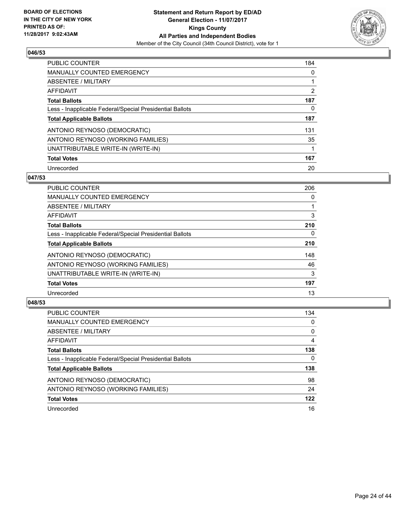

| <b>PUBLIC COUNTER</b>                                    | 184 |
|----------------------------------------------------------|-----|
| <b>MANUALLY COUNTED EMERGENCY</b>                        | 0   |
| ABSENTEE / MILITARY                                      |     |
| AFFIDAVIT                                                | 2   |
| <b>Total Ballots</b>                                     | 187 |
| Less - Inapplicable Federal/Special Presidential Ballots | 0   |
| <b>Total Applicable Ballots</b>                          | 187 |
| ANTONIO REYNOSO (DEMOCRATIC)                             | 131 |
| ANTONIO REYNOSO (WORKING FAMILIES)                       | 35  |
| UNATTRIBUTABLE WRITE-IN (WRITE-IN)                       | 1   |
| <b>Total Votes</b>                                       | 167 |
| Unrecorded                                               | 20  |

#### **047/53**

| <b>PUBLIC COUNTER</b>                                    | 206      |
|----------------------------------------------------------|----------|
| <b>MANUALLY COUNTED EMERGENCY</b>                        | 0        |
| ABSENTEE / MILITARY                                      |          |
| <b>AFFIDAVIT</b>                                         | 3        |
| <b>Total Ballots</b>                                     | 210      |
| Less - Inapplicable Federal/Special Presidential Ballots | $\Omega$ |
| <b>Total Applicable Ballots</b>                          | 210      |
| ANTONIO REYNOSO (DEMOCRATIC)                             | 148      |
| ANTONIO REYNOSO (WORKING FAMILIES)                       | 46       |
| UNATTRIBUTABLE WRITE-IN (WRITE-IN)                       | 3        |
| <b>Total Votes</b>                                       | 197      |
| Unrecorded                                               | 13       |

| <b>PUBLIC COUNTER</b>                                    | 134 |
|----------------------------------------------------------|-----|
| MANUALLY COUNTED EMERGENCY                               | 0   |
| ABSENTEE / MILITARY                                      | 0   |
| AFFIDAVIT                                                | 4   |
| <b>Total Ballots</b>                                     | 138 |
| Less - Inapplicable Federal/Special Presidential Ballots | 0   |
| <b>Total Applicable Ballots</b>                          | 138 |
| ANTONIO REYNOSO (DEMOCRATIC)                             | 98  |
| ANTONIO REYNOSO (WORKING FAMILIES)                       | 24  |
| <b>Total Votes</b>                                       | 122 |
| Unrecorded                                               | 16  |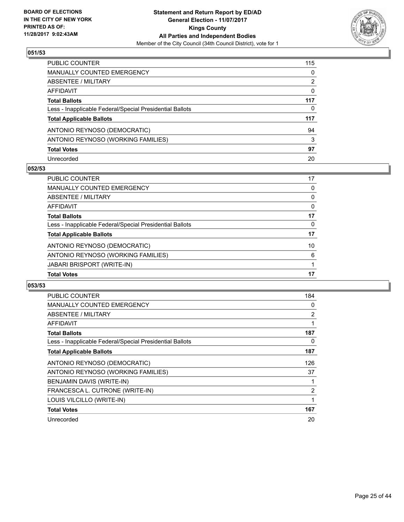

| <b>PUBLIC COUNTER</b>                                    | 115      |
|----------------------------------------------------------|----------|
| <b>MANUALLY COUNTED EMERGENCY</b>                        | 0        |
| <b>ABSENTEE / MILITARY</b>                               | 2        |
| <b>AFFIDAVIT</b>                                         | $\Omega$ |
| <b>Total Ballots</b>                                     | 117      |
| Less - Inapplicable Federal/Special Presidential Ballots | 0        |
| <b>Total Applicable Ballots</b>                          | 117      |
| ANTONIO REYNOSO (DEMOCRATIC)                             | 94       |
| ANTONIO REYNOSO (WORKING FAMILIES)                       | 3        |
| <b>Total Votes</b>                                       | 97       |
| Unrecorded                                               | 20       |

#### **052/53**

| <b>Total Votes</b>                                       | 17 |
|----------------------------------------------------------|----|
| <b>JABARI BRISPORT (WRITE-IN)</b>                        |    |
| ANTONIO REYNOSO (WORKING FAMILIES)                       | 6  |
| ANTONIO REYNOSO (DEMOCRATIC)                             | 10 |
| <b>Total Applicable Ballots</b>                          | 17 |
| Less - Inapplicable Federal/Special Presidential Ballots | 0  |
| <b>Total Ballots</b>                                     | 17 |
| AFFIDAVIT                                                | 0  |
| ABSENTEE / MILITARY                                      | 0  |
| <b>MANUALLY COUNTED EMERGENCY</b>                        | 0  |
| <b>PUBLIC COUNTER</b>                                    | 17 |

| PUBLIC COUNTER                                           | 184          |
|----------------------------------------------------------|--------------|
| <b>MANUALLY COUNTED EMERGENCY</b>                        | 0            |
| ABSENTEE / MILITARY                                      | 2            |
| AFFIDAVIT                                                | 1            |
| <b>Total Ballots</b>                                     | 187          |
| Less - Inapplicable Federal/Special Presidential Ballots | 0            |
| <b>Total Applicable Ballots</b>                          | 187          |
| ANTONIO REYNOSO (DEMOCRATIC)                             | 126          |
| ANTONIO REYNOSO (WORKING FAMILIES)                       | 37           |
| BENJAMIN DAVIS (WRITE-IN)                                |              |
| FRANCESCA L. CUTRONE (WRITE-IN)                          | 2            |
| LOUIS VILCILLO (WRITE-IN)                                | $\mathbf{1}$ |
| <b>Total Votes</b>                                       | 167          |
| Unrecorded                                               | 20           |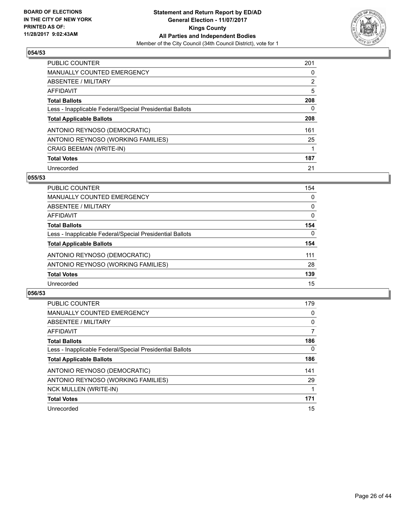

| <b>PUBLIC COUNTER</b>                                    | 201            |
|----------------------------------------------------------|----------------|
| <b>MANUALLY COUNTED EMERGENCY</b>                        | 0              |
| ABSENTEE / MILITARY                                      | $\overline{2}$ |
| AFFIDAVIT                                                | 5              |
| <b>Total Ballots</b>                                     | 208            |
| Less - Inapplicable Federal/Special Presidential Ballots | 0              |
| <b>Total Applicable Ballots</b>                          | 208            |
| ANTONIO REYNOSO (DEMOCRATIC)                             | 161            |
| ANTONIO REYNOSO (WORKING FAMILIES)                       | 25             |
| <b>CRAIG BEEMAN (WRITE-IN)</b>                           |                |
| <b>Total Votes</b>                                       | 187            |
| Unrecorded                                               | 21             |

#### **055/53**

| <b>PUBLIC COUNTER</b>                                    | 154      |
|----------------------------------------------------------|----------|
| MANUALLY COUNTED EMERGENCY                               | 0        |
| ABSENTEE / MILITARY                                      | $\Omega$ |
| <b>AFFIDAVIT</b>                                         | 0        |
| <b>Total Ballots</b>                                     | 154      |
| Less - Inapplicable Federal/Special Presidential Ballots | $\Omega$ |
| <b>Total Applicable Ballots</b>                          | 154      |
| ANTONIO REYNOSO (DEMOCRATIC)                             | 111      |
| ANTONIO REYNOSO (WORKING FAMILIES)                       | 28       |
| <b>Total Votes</b>                                       | 139      |
| Unrecorded                                               | 15       |

| <b>PUBLIC COUNTER</b>                                    | 179 |
|----------------------------------------------------------|-----|
| <b>MANUALLY COUNTED EMERGENCY</b>                        | 0   |
| ABSENTEE / MILITARY                                      | 0   |
| <b>AFFIDAVIT</b>                                         | 7   |
| <b>Total Ballots</b>                                     | 186 |
| Less - Inapplicable Federal/Special Presidential Ballots | 0   |
| <b>Total Applicable Ballots</b>                          | 186 |
| ANTONIO REYNOSO (DEMOCRATIC)                             | 141 |
| ANTONIO REYNOSO (WORKING FAMILIES)                       | 29  |
| <b>NCK MULLEN (WRITE-IN)</b>                             |     |
| <b>Total Votes</b>                                       | 171 |
| Unrecorded                                               | 15  |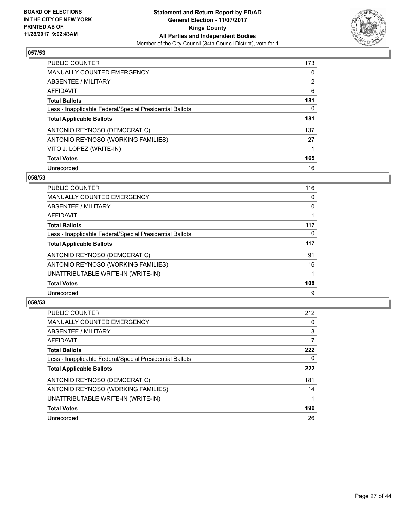

| <b>PUBLIC COUNTER</b>                                    | 173 |
|----------------------------------------------------------|-----|
| <b>MANUALLY COUNTED EMERGENCY</b>                        | 0   |
| ABSENTEE / MILITARY                                      | 2   |
| <b>AFFIDAVIT</b>                                         | 6   |
| <b>Total Ballots</b>                                     | 181 |
| Less - Inapplicable Federal/Special Presidential Ballots | 0   |
| <b>Total Applicable Ballots</b>                          | 181 |
| ANTONIO REYNOSO (DEMOCRATIC)                             | 137 |
| ANTONIO REYNOSO (WORKING FAMILIES)                       | 27  |
| VITO J. LOPEZ (WRITE-IN)                                 |     |
| <b>Total Votes</b>                                       | 165 |
| Unrecorded                                               | 16  |

#### **058/53**

| <b>PUBLIC COUNTER</b>                                    | 116 |
|----------------------------------------------------------|-----|
| <b>MANUALLY COUNTED EMERGENCY</b>                        | 0   |
| ABSENTEE / MILITARY                                      | 0   |
| <b>AFFIDAVIT</b>                                         |     |
| <b>Total Ballots</b>                                     | 117 |
| Less - Inapplicable Federal/Special Presidential Ballots | 0   |
| <b>Total Applicable Ballots</b>                          | 117 |
| ANTONIO REYNOSO (DEMOCRATIC)                             | 91  |
| ANTONIO REYNOSO (WORKING FAMILIES)                       | 16  |
| UNATTRIBUTABLE WRITE-IN (WRITE-IN)                       |     |
| <b>Total Votes</b>                                       | 108 |
| Unrecorded                                               | 9   |

| <b>PUBLIC COUNTER</b>                                    | 212 |
|----------------------------------------------------------|-----|
| <b>MANUALLY COUNTED EMERGENCY</b>                        | 0   |
| ABSENTEE / MILITARY                                      | 3   |
| AFFIDAVIT                                                | 7   |
| <b>Total Ballots</b>                                     | 222 |
| Less - Inapplicable Federal/Special Presidential Ballots | 0   |
| <b>Total Applicable Ballots</b>                          | 222 |
| ANTONIO REYNOSO (DEMOCRATIC)                             | 181 |
| ANTONIO REYNOSO (WORKING FAMILIES)                       | 14  |
| UNATTRIBUTABLE WRITE-IN (WRITE-IN)                       |     |
| <b>Total Votes</b>                                       | 196 |
| Unrecorded                                               | 26  |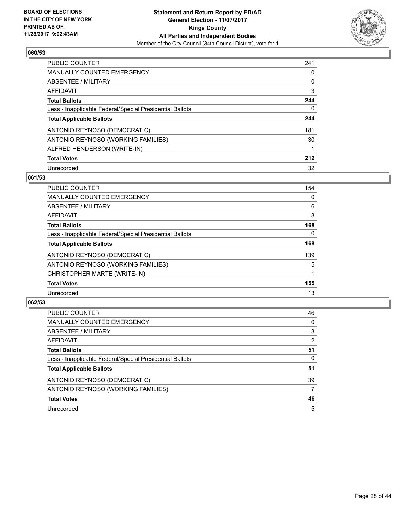

| <b>PUBLIC COUNTER</b>                                    | 241 |
|----------------------------------------------------------|-----|
| <b>MANUALLY COUNTED EMERGENCY</b>                        | 0   |
| ABSENTEE / MILITARY                                      | 0   |
| AFFIDAVIT                                                | 3   |
| <b>Total Ballots</b>                                     | 244 |
| Less - Inapplicable Federal/Special Presidential Ballots | 0   |
| <b>Total Applicable Ballots</b>                          | 244 |
| ANTONIO REYNOSO (DEMOCRATIC)                             | 181 |
| ANTONIO REYNOSO (WORKING FAMILIES)                       | 30  |
| ALFRED HENDERSON (WRITE-IN)                              | 1   |
| <b>Total Votes</b>                                       | 212 |
| Unrecorded                                               | 32  |

#### **061/53**

| <b>PUBLIC COUNTER</b>                                    | 154      |
|----------------------------------------------------------|----------|
| <b>MANUALLY COUNTED EMERGENCY</b>                        | 0        |
| ABSENTEE / MILITARY                                      | 6        |
| <b>AFFIDAVIT</b>                                         | 8        |
| <b>Total Ballots</b>                                     | 168      |
| Less - Inapplicable Federal/Special Presidential Ballots | $\Omega$ |
| <b>Total Applicable Ballots</b>                          | 168      |
| ANTONIO REYNOSO (DEMOCRATIC)                             | 139      |
| ANTONIO REYNOSO (WORKING FAMILIES)                       | 15       |
| CHRISTOPHER MARTE (WRITE-IN)                             |          |
| <b>Total Votes</b>                                       | 155      |
| Unrecorded                                               | 13       |

| <b>PUBLIC COUNTER</b>                                    | 46             |
|----------------------------------------------------------|----------------|
| <b>MANUALLY COUNTED EMERGENCY</b>                        | 0              |
| ABSENTEE / MILITARY                                      | 3              |
| AFFIDAVIT                                                | $\overline{2}$ |
| <b>Total Ballots</b>                                     | 51             |
| Less - Inapplicable Federal/Special Presidential Ballots | 0              |
| <b>Total Applicable Ballots</b>                          | 51             |
| ANTONIO REYNOSO (DEMOCRATIC)                             | 39             |
| ANTONIO REYNOSO (WORKING FAMILIES)                       | 7              |
| <b>Total Votes</b>                                       | 46             |
| Unrecorded                                               | 5              |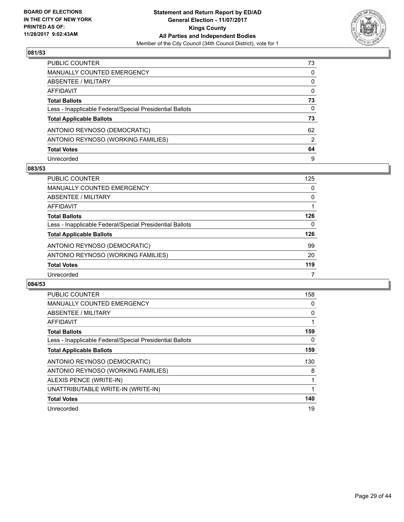

| PUBLIC COUNTER                                           | 73 |
|----------------------------------------------------------|----|
| MANUALLY COUNTED EMERGENCY                               | 0  |
| ABSENTEE / MILITARY                                      | 0  |
| AFFIDAVIT                                                | 0  |
| <b>Total Ballots</b>                                     | 73 |
| Less - Inapplicable Federal/Special Presidential Ballots | 0  |
| <b>Total Applicable Ballots</b>                          | 73 |
| ANTONIO REYNOSO (DEMOCRATIC)                             | 62 |
| ANTONIO REYNOSO (WORKING FAMILIES)                       | 2  |
| <b>Total Votes</b>                                       | 64 |
| Unrecorded                                               | 9  |

#### **083/53**

| <b>PUBLIC COUNTER</b>                                    | 125 |
|----------------------------------------------------------|-----|
| MANUALLY COUNTED EMERGENCY                               | 0   |
| ABSENTEE / MILITARY                                      | 0   |
| AFFIDAVIT                                                |     |
| <b>Total Ballots</b>                                     | 126 |
| Less - Inapplicable Federal/Special Presidential Ballots | 0   |
| <b>Total Applicable Ballots</b>                          | 126 |
| ANTONIO REYNOSO (DEMOCRATIC)                             | 99  |
| ANTONIO REYNOSO (WORKING FAMILIES)                       | 20  |
| <b>Total Votes</b>                                       | 119 |
| Unrecorded                                               |     |

| PUBLIC COUNTER                                           | 158 |
|----------------------------------------------------------|-----|
| <b>MANUALLY COUNTED EMERGENCY</b>                        | 0   |
| ABSENTEE / MILITARY                                      | 0   |
| AFFIDAVIT                                                |     |
| <b>Total Ballots</b>                                     | 159 |
| Less - Inapplicable Federal/Special Presidential Ballots | 0   |
| <b>Total Applicable Ballots</b>                          | 159 |
| ANTONIO REYNOSO (DEMOCRATIC)                             | 130 |
| ANTONIO REYNOSO (WORKING FAMILIES)                       | 8   |
| ALEXIS PENCE (WRITE-IN)                                  | 1   |
| UNATTRIBUTABLE WRITE-IN (WRITE-IN)                       | 1   |
| <b>Total Votes</b>                                       | 140 |
| Unrecorded                                               | 19  |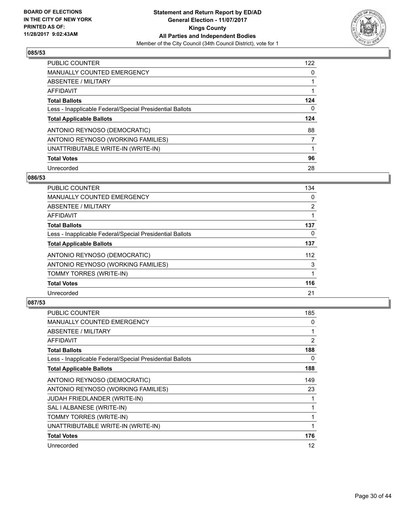

| <b>PUBLIC COUNTER</b>                                    | 122 |
|----------------------------------------------------------|-----|
| <b>MANUALLY COUNTED EMERGENCY</b>                        | 0   |
| ABSENTEE / MILITARY                                      |     |
| AFFIDAVIT                                                |     |
| <b>Total Ballots</b>                                     | 124 |
| Less - Inapplicable Federal/Special Presidential Ballots | 0   |
| <b>Total Applicable Ballots</b>                          | 124 |
| ANTONIO REYNOSO (DEMOCRATIC)                             | 88  |
| ANTONIO REYNOSO (WORKING FAMILIES)                       | 7   |
| UNATTRIBUTABLE WRITE-IN (WRITE-IN)                       |     |
| <b>Total Votes</b>                                       | 96  |
| Unrecorded                                               | 28  |

#### **086/53**

| <b>PUBLIC COUNTER</b>                                    | 134            |
|----------------------------------------------------------|----------------|
| <b>MANUALLY COUNTED EMERGENCY</b>                        | 0              |
| ABSENTEE / MILITARY                                      | $\overline{2}$ |
| <b>AFFIDAVIT</b>                                         |                |
| <b>Total Ballots</b>                                     | 137            |
| Less - Inapplicable Federal/Special Presidential Ballots | 0              |
| <b>Total Applicable Ballots</b>                          | 137            |
| ANTONIO REYNOSO (DEMOCRATIC)                             | 112            |
| ANTONIO REYNOSO (WORKING FAMILIES)                       | 3              |
| TOMMY TORRES (WRITE-IN)                                  |                |
| <b>Total Votes</b>                                       | 116            |
| Unrecorded                                               | 21             |

| <b>PUBLIC COUNTER</b>                                    | 185 |
|----------------------------------------------------------|-----|
| MANUALLY COUNTED EMERGENCY                               | 0   |
| ABSENTEE / MILITARY                                      | 1   |
| AFFIDAVIT                                                | 2   |
| <b>Total Ballots</b>                                     | 188 |
| Less - Inapplicable Federal/Special Presidential Ballots | 0   |
| <b>Total Applicable Ballots</b>                          | 188 |
| ANTONIO REYNOSO (DEMOCRATIC)                             | 149 |
| ANTONIO REYNOSO (WORKING FAMILIES)                       | 23  |
| <b>JUDAH FRIEDLANDER (WRITE-IN)</b>                      | 1   |
| SAL I ALBANESE (WRITE-IN)                                | 1   |
| TOMMY TORRES (WRITE-IN)                                  | 1   |
| UNATTRIBUTABLE WRITE-IN (WRITE-IN)                       | 1   |
| <b>Total Votes</b>                                       | 176 |
| Unrecorded                                               | 12  |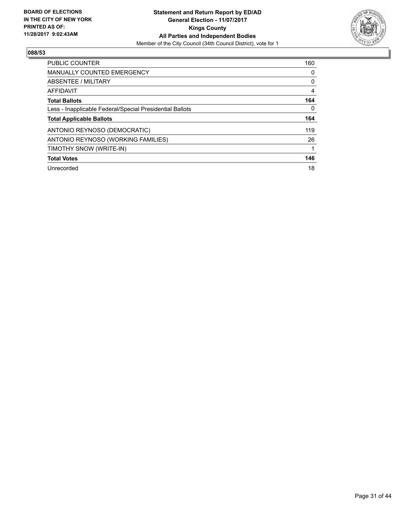

| <b>PUBLIC COUNTER</b>                                    | 160 |
|----------------------------------------------------------|-----|
| <b>MANUALLY COUNTED EMERGENCY</b>                        | 0   |
| ABSENTEE / MILITARY                                      | 0   |
| AFFIDAVIT                                                | 4   |
| <b>Total Ballots</b>                                     | 164 |
| Less - Inapplicable Federal/Special Presidential Ballots | 0   |
| <b>Total Applicable Ballots</b>                          | 164 |
| ANTONIO REYNOSO (DEMOCRATIC)                             | 119 |
| ANTONIO REYNOSO (WORKING FAMILIES)                       | 26  |
| TIMOTHY SNOW (WRITE-IN)                                  |     |
| <b>Total Votes</b>                                       | 146 |
|                                                          |     |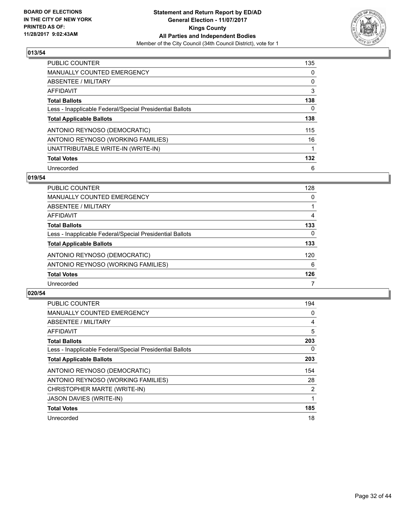

| <b>PUBLIC COUNTER</b>                                    | 135 |
|----------------------------------------------------------|-----|
| <b>MANUALLY COUNTED EMERGENCY</b>                        | 0   |
| ABSENTEE / MILITARY                                      | 0   |
| AFFIDAVIT                                                | 3   |
| <b>Total Ballots</b>                                     | 138 |
| Less - Inapplicable Federal/Special Presidential Ballots | 0   |
| <b>Total Applicable Ballots</b>                          | 138 |
| ANTONIO REYNOSO (DEMOCRATIC)                             | 115 |
| ANTONIO REYNOSO (WORKING FAMILIES)                       | 16  |
| UNATTRIBUTABLE WRITE-IN (WRITE-IN)                       | 1   |
| <b>Total Votes</b>                                       | 132 |
| Unrecorded                                               | 6   |

#### **019/54**

| <b>PUBLIC COUNTER</b>                                    | 128 |
|----------------------------------------------------------|-----|
| MANUALLY COUNTED EMERGENCY                               | 0   |
| ABSENTEE / MILITARY                                      |     |
| AFFIDAVIT                                                | 4   |
| <b>Total Ballots</b>                                     | 133 |
| Less - Inapplicable Federal/Special Presidential Ballots | 0   |
| <b>Total Applicable Ballots</b>                          | 133 |
| ANTONIO REYNOSO (DEMOCRATIC)                             | 120 |
| ANTONIO REYNOSO (WORKING FAMILIES)                       | 6   |
| <b>Total Votes</b>                                       | 126 |
| Unrecorded                                               |     |

| <b>PUBLIC COUNTER</b>                                    | 194            |
|----------------------------------------------------------|----------------|
| <b>MANUALLY COUNTED EMERGENCY</b>                        | 0              |
| ABSENTEE / MILITARY                                      | 4              |
| AFFIDAVIT                                                | 5              |
| <b>Total Ballots</b>                                     | 203            |
| Less - Inapplicable Federal/Special Presidential Ballots | 0              |
| <b>Total Applicable Ballots</b>                          | 203            |
| ANTONIO REYNOSO (DEMOCRATIC)                             | 154            |
| ANTONIO REYNOSO (WORKING FAMILIES)                       | 28             |
| CHRISTOPHER MARTE (WRITE-IN)                             | $\overline{2}$ |
| <b>JASON DAVIES (WRITE-IN)</b>                           | 1              |
| <b>Total Votes</b>                                       | 185            |
| Unrecorded                                               | 18             |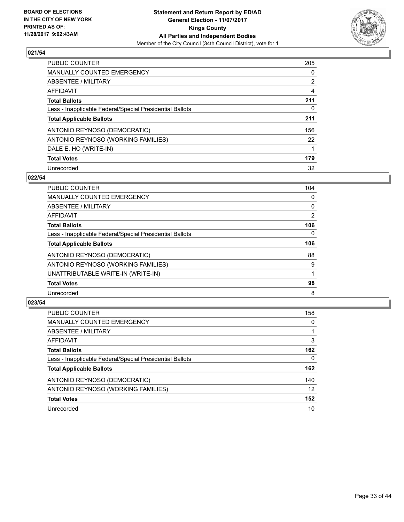

| <b>PUBLIC COUNTER</b>                                    | 205            |
|----------------------------------------------------------|----------------|
| <b>MANUALLY COUNTED EMERGENCY</b>                        | 0              |
| ABSENTEE / MILITARY                                      | $\overline{2}$ |
| AFFIDAVIT                                                | 4              |
| <b>Total Ballots</b>                                     | 211            |
| Less - Inapplicable Federal/Special Presidential Ballots | 0              |
| <b>Total Applicable Ballots</b>                          | 211            |
| ANTONIO REYNOSO (DEMOCRATIC)                             | 156            |
| ANTONIO REYNOSO (WORKING FAMILIES)                       | 22             |
| DALE E. HO (WRITE-IN)                                    |                |
| <b>Total Votes</b>                                       | 179            |
| Unrecorded                                               | 32             |

#### **022/54**

| <b>PUBLIC COUNTER</b>                                    | 104      |
|----------------------------------------------------------|----------|
| <b>MANUALLY COUNTED EMERGENCY</b>                        | 0        |
| ABSENTEE / MILITARY                                      | 0        |
| <b>AFFIDAVIT</b>                                         | 2        |
| <b>Total Ballots</b>                                     | 106      |
| Less - Inapplicable Federal/Special Presidential Ballots | $\Omega$ |
| <b>Total Applicable Ballots</b>                          | 106      |
| ANTONIO REYNOSO (DEMOCRATIC)                             | 88       |
| ANTONIO REYNOSO (WORKING FAMILIES)                       | 9        |
| UNATTRIBUTABLE WRITE-IN (WRITE-IN)                       |          |
| <b>Total Votes</b>                                       | 98       |
| Unrecorded                                               | 8        |

| <b>PUBLIC COUNTER</b>                                    | 158 |
|----------------------------------------------------------|-----|
| <b>MANUALLY COUNTED EMERGENCY</b>                        | 0   |
| ABSENTEE / MILITARY                                      |     |
| AFFIDAVIT                                                | 3   |
| <b>Total Ballots</b>                                     | 162 |
| Less - Inapplicable Federal/Special Presidential Ballots | 0   |
| <b>Total Applicable Ballots</b>                          | 162 |
| ANTONIO REYNOSO (DEMOCRATIC)                             | 140 |
| ANTONIO REYNOSO (WORKING FAMILIES)                       | 12  |
| <b>Total Votes</b>                                       | 152 |
| Unrecorded                                               | 10  |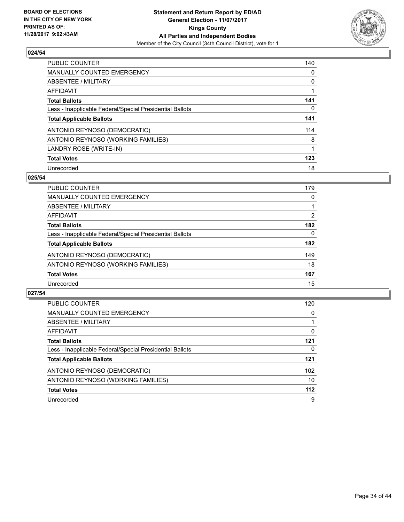

| <b>PUBLIC COUNTER</b>                                    | 140 |
|----------------------------------------------------------|-----|
| <b>MANUALLY COUNTED EMERGENCY</b>                        | 0   |
| ABSENTEE / MILITARY                                      | 0   |
| <b>AFFIDAVIT</b>                                         |     |
| <b>Total Ballots</b>                                     | 141 |
| Less - Inapplicable Federal/Special Presidential Ballots | 0   |
| <b>Total Applicable Ballots</b>                          | 141 |
| ANTONIO REYNOSO (DEMOCRATIC)                             | 114 |
| ANTONIO REYNOSO (WORKING FAMILIES)                       | 8   |
| LANDRY ROSE (WRITE-IN)                                   |     |
| <b>Total Votes</b>                                       | 123 |
| Unrecorded                                               | 18  |

#### **025/54**

| <b>PUBLIC COUNTER</b>                                    | 179 |
|----------------------------------------------------------|-----|
| MANUALLY COUNTED EMERGENCY                               | 0   |
| ABSENTEE / MILITARY                                      |     |
| <b>AFFIDAVIT</b>                                         | 2   |
| <b>Total Ballots</b>                                     | 182 |
| Less - Inapplicable Federal/Special Presidential Ballots | 0   |
| <b>Total Applicable Ballots</b>                          | 182 |
| ANTONIO REYNOSO (DEMOCRATIC)                             | 149 |
| ANTONIO REYNOSO (WORKING FAMILIES)                       | 18  |
| <b>Total Votes</b>                                       | 167 |
| Unrecorded                                               | 15  |

| <b>PUBLIC COUNTER</b>                                    | 120   |
|----------------------------------------------------------|-------|
| <b>MANUALLY COUNTED EMERGENCY</b>                        | 0     |
| ABSENTEE / MILITARY                                      |       |
| AFFIDAVIT                                                | 0     |
| <b>Total Ballots</b>                                     | 121   |
| Less - Inapplicable Federal/Special Presidential Ballots | 0     |
| <b>Total Applicable Ballots</b>                          | 121   |
| ANTONIO REYNOSO (DEMOCRATIC)                             | 102   |
| ANTONIO REYNOSO (WORKING FAMILIES)                       | 10    |
| <b>Total Votes</b>                                       | $112$ |
| Unrecorded                                               | 9     |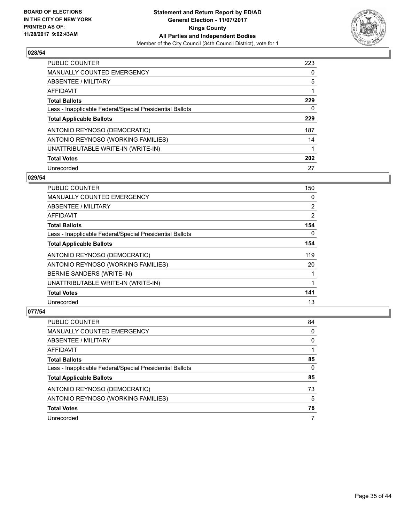

| <b>PUBLIC COUNTER</b>                                    | 223 |
|----------------------------------------------------------|-----|
| <b>MANUALLY COUNTED EMERGENCY</b>                        | 0   |
| ABSENTEE / MILITARY                                      | 5   |
| AFFIDAVIT                                                |     |
| <b>Total Ballots</b>                                     | 229 |
| Less - Inapplicable Federal/Special Presidential Ballots | 0   |
| <b>Total Applicable Ballots</b>                          | 229 |
| ANTONIO REYNOSO (DEMOCRATIC)                             | 187 |
| ANTONIO REYNOSO (WORKING FAMILIES)                       | 14  |
| UNATTRIBUTABLE WRITE-IN (WRITE-IN)                       |     |
| <b>Total Votes</b>                                       | 202 |
| Unrecorded                                               | 27  |

#### **029/54**

| <b>PUBLIC COUNTER</b>                                    | 150            |
|----------------------------------------------------------|----------------|
| <b>MANUALLY COUNTED EMERGENCY</b>                        | 0              |
| ABSENTEE / MILITARY                                      | $\overline{2}$ |
| AFFIDAVIT                                                | 2              |
| <b>Total Ballots</b>                                     | 154            |
| Less - Inapplicable Federal/Special Presidential Ballots | $\Omega$       |
| <b>Total Applicable Ballots</b>                          | 154            |
| ANTONIO REYNOSO (DEMOCRATIC)                             | 119            |
| ANTONIO REYNOSO (WORKING FAMILIES)                       | 20             |
| BERNIE SANDERS (WRITE-IN)                                |                |
| UNATTRIBUTABLE WRITE-IN (WRITE-IN)                       |                |
| <b>Total Votes</b>                                       | 141            |
| Unrecorded                                               | 13             |

| <b>PUBLIC COUNTER</b>                                    | 84 |
|----------------------------------------------------------|----|
| <b>MANUALLY COUNTED EMERGENCY</b>                        | 0  |
| ABSENTEE / MILITARY                                      | 0  |
| AFFIDAVIT                                                |    |
| <b>Total Ballots</b>                                     | 85 |
| Less - Inapplicable Federal/Special Presidential Ballots | 0  |
| <b>Total Applicable Ballots</b>                          | 85 |
| ANTONIO REYNOSO (DEMOCRATIC)                             | 73 |
| ANTONIO REYNOSO (WORKING FAMILIES)                       | 5  |
| <b>Total Votes</b>                                       | 78 |
| Unrecorded                                               | 7  |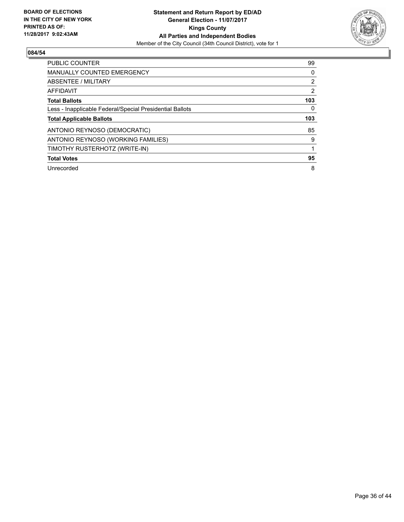

| <b>PUBLIC COUNTER</b>                                    | 99             |
|----------------------------------------------------------|----------------|
| <b>MANUALLY COUNTED EMERGENCY</b>                        | 0              |
| <b>ABSENTEE / MILITARY</b>                               | $\overline{2}$ |
| AFFIDAVIT                                                | 2              |
| <b>Total Ballots</b>                                     | 103            |
| Less - Inapplicable Federal/Special Presidential Ballots | 0              |
| <b>Total Applicable Ballots</b>                          | 103            |
| ANTONIO REYNOSO (DEMOCRATIC)                             | 85             |
| ANTONIO REYNOSO (WORKING FAMILIES)                       | 9              |
| TIMOTHY RUSTERHOTZ (WRITE-IN)                            |                |
|                                                          |                |
| <b>Total Votes</b>                                       | 95             |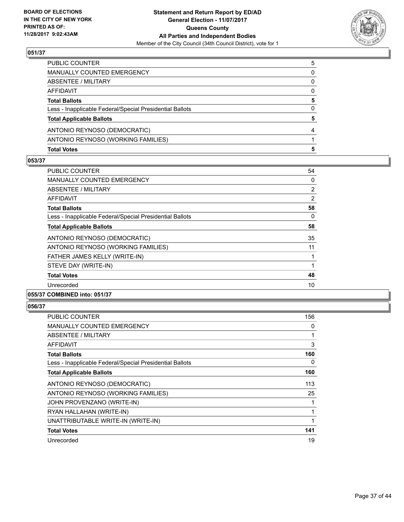

| <b>Total Votes</b>                                       | 5 |
|----------------------------------------------------------|---|
| ANTONIO REYNOSO (WORKING FAMILIES)                       |   |
| ANTONIO REYNOSO (DEMOCRATIC)                             |   |
| <b>Total Applicable Ballots</b>                          | 5 |
| Less - Inapplicable Federal/Special Presidential Ballots | 0 |
| <b>Total Ballots</b>                                     | 5 |
| AFFIDAVIT                                                | 0 |
| ABSENTEE / MILITARY                                      | 0 |
| <b>MANUALLY COUNTED EMERGENCY</b>                        | 0 |
| PUBLIC COUNTER                                           | 5 |

#### **053/37**

| <b>PUBLIC COUNTER</b>                                    | 54             |
|----------------------------------------------------------|----------------|
| <b>MANUALLY COUNTED EMERGENCY</b>                        | 0              |
| ABSENTEE / MILITARY                                      | $\overline{2}$ |
| AFFIDAVIT                                                | 2              |
| <b>Total Ballots</b>                                     | 58             |
| Less - Inapplicable Federal/Special Presidential Ballots | 0              |
| <b>Total Applicable Ballots</b>                          | 58             |
| ANTONIO REYNOSO (DEMOCRATIC)                             | 35             |
| ANTONIO REYNOSO (WORKING FAMILIES)                       | 11             |
| FATHER JAMES KELLY (WRITE-IN)                            |                |
| STEVE DAY (WRITE-IN)                                     |                |
| <b>Total Votes</b>                                       | 48             |
| Unrecorded                                               | 10             |
| 055/37 COMBINED into: 051/37                             |                |

| PUBLIC COUNTER                                           | 156 |
|----------------------------------------------------------|-----|
| <b>MANUALLY COUNTED EMERGENCY</b>                        | 0   |
| ABSENTEE / MILITARY                                      |     |
| AFFIDAVIT                                                | 3   |
| <b>Total Ballots</b>                                     | 160 |
| Less - Inapplicable Federal/Special Presidential Ballots | 0   |
| <b>Total Applicable Ballots</b>                          | 160 |
| ANTONIO REYNOSO (DEMOCRATIC)                             | 113 |
| ANTONIO REYNOSO (WORKING FAMILIES)                       | 25  |
| JOHN PROVENZANO (WRITE-IN)                               |     |
| RYAN HALLAHAN (WRITE-IN)                                 |     |
| UNATTRIBUTABLE WRITE-IN (WRITE-IN)                       | 1   |
| <b>Total Votes</b>                                       | 141 |
| Unrecorded                                               | 19  |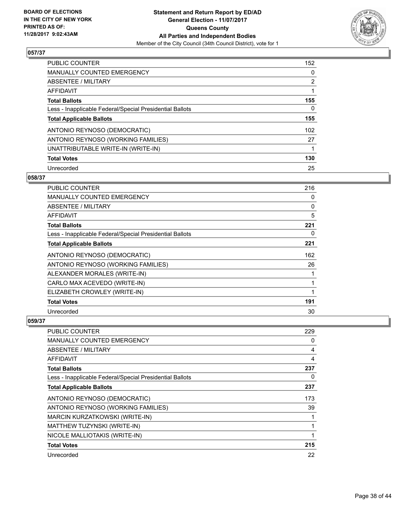

| <b>PUBLIC COUNTER</b>                                    | 152            |
|----------------------------------------------------------|----------------|
| <b>MANUALLY COUNTED EMERGENCY</b>                        | 0              |
| ABSENTEE / MILITARY                                      | $\overline{2}$ |
| AFFIDAVIT                                                |                |
| <b>Total Ballots</b>                                     | 155            |
| Less - Inapplicable Federal/Special Presidential Ballots | 0              |
| <b>Total Applicable Ballots</b>                          | 155            |
| ANTONIO REYNOSO (DEMOCRATIC)                             | 102            |
| ANTONIO REYNOSO (WORKING FAMILIES)                       | 27             |
| UNATTRIBUTABLE WRITE-IN (WRITE-IN)                       |                |
| <b>Total Votes</b>                                       | 130            |
| Unrecorded                                               | 25             |

#### **058/37**

| PUBLIC COUNTER                                           | 216 |
|----------------------------------------------------------|-----|
| <b>MANUALLY COUNTED EMERGENCY</b>                        | 0   |
| ABSENTEE / MILITARY                                      | 0   |
| AFFIDAVIT                                                | 5   |
| <b>Total Ballots</b>                                     | 221 |
| Less - Inapplicable Federal/Special Presidential Ballots | 0   |
| <b>Total Applicable Ballots</b>                          | 221 |
| ANTONIO REYNOSO (DEMOCRATIC)                             | 162 |
| ANTONIO REYNOSO (WORKING FAMILIES)                       | 26  |
| ALEXANDER MORALES (WRITE-IN)                             |     |
| CARLO MAX ACEVEDO (WRITE-IN)                             | 1   |
| ELIZABETH CROWLEY (WRITE-IN)                             | 1   |
| <b>Total Votes</b>                                       | 191 |
| Unrecorded                                               | 30  |

| <b>PUBLIC COUNTER</b>                                    | 229 |
|----------------------------------------------------------|-----|
| <b>MANUALLY COUNTED EMERGENCY</b>                        | 0   |
| ABSENTEE / MILITARY                                      | 4   |
| AFFIDAVIT                                                | 4   |
| <b>Total Ballots</b>                                     | 237 |
| Less - Inapplicable Federal/Special Presidential Ballots | 0   |
| <b>Total Applicable Ballots</b>                          | 237 |
| ANTONIO REYNOSO (DEMOCRATIC)                             | 173 |
| ANTONIO REYNOSO (WORKING FAMILIES)                       | 39  |
| <b>MARCIN KURZATKOWSKI (WRITE-IN)</b>                    |     |
| MATTHEW TUZYNSKI (WRITE-IN)                              |     |
| NICOLE MALLIOTAKIS (WRITE-IN)                            |     |
| <b>Total Votes</b>                                       | 215 |
| Unrecorded                                               | 22  |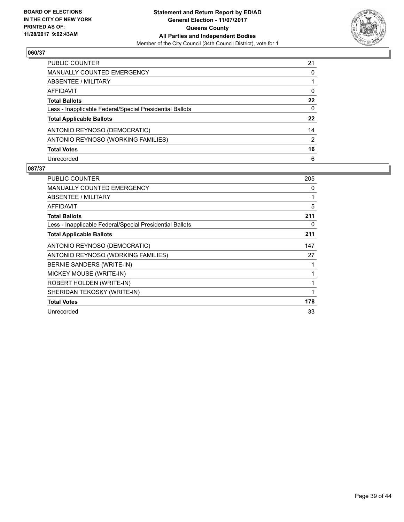

| <b>PUBLIC COUNTER</b>                                    | 21 |
|----------------------------------------------------------|----|
| <b>MANUALLY COUNTED EMERGENCY</b>                        | 0  |
| <b>ABSENTEE / MILITARY</b>                               |    |
| <b>AFFIDAVIT</b>                                         | 0  |
| <b>Total Ballots</b>                                     | 22 |
| Less - Inapplicable Federal/Special Presidential Ballots | 0  |
| <b>Total Applicable Ballots</b>                          | 22 |
| ANTONIO REYNOSO (DEMOCRATIC)                             | 14 |
| ANTONIO REYNOSO (WORKING FAMILIES)                       | 2  |
| <b>Total Votes</b>                                       | 16 |
| Unrecorded                                               | 6  |

| <b>PUBLIC COUNTER</b>                                    | 205 |
|----------------------------------------------------------|-----|
| <b>MANUALLY COUNTED EMERGENCY</b>                        | 0   |
| <b>ABSENTEE / MILITARY</b>                               | 1   |
| AFFIDAVIT                                                | 5   |
| <b>Total Ballots</b>                                     | 211 |
| Less - Inapplicable Federal/Special Presidential Ballots | 0   |
| <b>Total Applicable Ballots</b>                          | 211 |
| ANTONIO REYNOSO (DEMOCRATIC)                             | 147 |
| ANTONIO REYNOSO (WORKING FAMILIES)                       | 27  |
| BERNIE SANDERS (WRITE-IN)                                | 1   |
| MICKEY MOUSE (WRITE-IN)                                  | 1   |
| ROBERT HOLDEN (WRITE-IN)                                 | 1   |
| SHERIDAN TEKOSKY (WRITE-IN)                              | 1   |
| <b>Total Votes</b>                                       | 178 |
| Unrecorded                                               | 33  |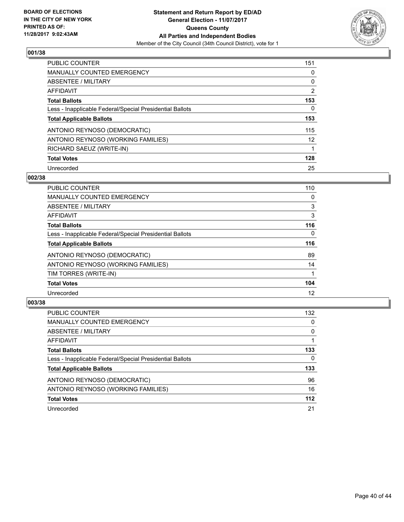

| <b>PUBLIC COUNTER</b>                                    | 151            |
|----------------------------------------------------------|----------------|
| <b>MANUALLY COUNTED EMERGENCY</b>                        | 0              |
| ABSENTEE / MILITARY                                      | 0              |
| AFFIDAVIT                                                | $\overline{2}$ |
| <b>Total Ballots</b>                                     | 153            |
| Less - Inapplicable Federal/Special Presidential Ballots | 0              |
| <b>Total Applicable Ballots</b>                          | 153            |
| ANTONIO REYNOSO (DEMOCRATIC)                             | 115            |
| ANTONIO REYNOSO (WORKING FAMILIES)                       | 12             |
| RICHARD SAEUZ (WRITE-IN)                                 | 1              |
| <b>Total Votes</b>                                       | 128            |
| Unrecorded                                               | 25             |

#### **002/38**

| <b>PUBLIC COUNTER</b>                                    | 110      |
|----------------------------------------------------------|----------|
| <b>MANUALLY COUNTED EMERGENCY</b>                        | 0        |
| ABSENTEE / MILITARY                                      | 3        |
| <b>AFFIDAVIT</b>                                         | 3        |
| <b>Total Ballots</b>                                     | 116      |
| Less - Inapplicable Federal/Special Presidential Ballots | $\Omega$ |
| <b>Total Applicable Ballots</b>                          | 116      |
| ANTONIO REYNOSO (DEMOCRATIC)                             | 89       |
| ANTONIO REYNOSO (WORKING FAMILIES)                       | 14       |
| TIM TORRES (WRITE-IN)                                    |          |
| <b>Total Votes</b>                                       | 104      |
| Unrecorded                                               | 12       |

| <b>PUBLIC COUNTER</b>                                    | 132   |
|----------------------------------------------------------|-------|
| <b>MANUALLY COUNTED EMERGENCY</b>                        | 0     |
| ABSENTEE / MILITARY                                      | 0     |
| AFFIDAVIT                                                |       |
| <b>Total Ballots</b>                                     | 133   |
| Less - Inapplicable Federal/Special Presidential Ballots | 0     |
| <b>Total Applicable Ballots</b>                          | 133   |
| ANTONIO REYNOSO (DEMOCRATIC)                             | 96    |
| ANTONIO REYNOSO (WORKING FAMILIES)                       | 16    |
| <b>Total Votes</b>                                       | $112$ |
| Unrecorded                                               | 21    |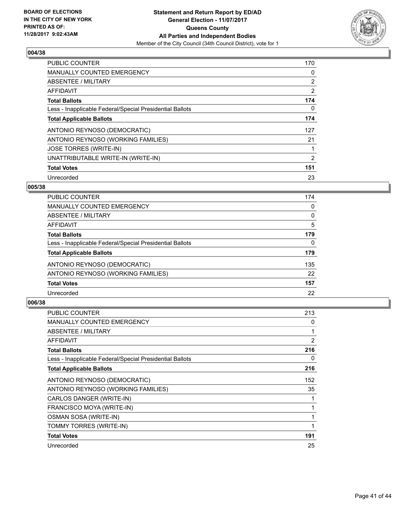

| <b>PUBLIC COUNTER</b>                                    | 170            |
|----------------------------------------------------------|----------------|
| <b>MANUALLY COUNTED EMERGENCY</b>                        | 0              |
| ABSENTEE / MILITARY                                      | $\overline{2}$ |
| <b>AFFIDAVIT</b>                                         | $\overline{2}$ |
| <b>Total Ballots</b>                                     | 174            |
| Less - Inapplicable Federal/Special Presidential Ballots | 0              |
| <b>Total Applicable Ballots</b>                          | 174            |
| ANTONIO REYNOSO (DEMOCRATIC)                             | 127            |
| ANTONIO REYNOSO (WORKING FAMILIES)                       | 21             |
| <b>JOSE TORRES (WRITE-IN)</b>                            |                |
| UNATTRIBUTABLE WRITE-IN (WRITE-IN)                       | 2              |
| <b>Total Votes</b>                                       | 151            |
| Unrecorded                                               | 23             |

## **005/38**

| 174 |
|-----|
| 0   |
| 0   |
| 5   |
| 179 |
| 0   |
| 179 |
| 135 |
| 22  |
| 157 |
| 22  |
|     |

| <b>PUBLIC COUNTER</b>                                    | 213 |
|----------------------------------------------------------|-----|
| <b>MANUALLY COUNTED EMERGENCY</b>                        | 0   |
| ABSENTEE / MILITARY                                      | 1   |
| AFFIDAVIT                                                | 2   |
| <b>Total Ballots</b>                                     | 216 |
| Less - Inapplicable Federal/Special Presidential Ballots | 0   |
| <b>Total Applicable Ballots</b>                          | 216 |
| ANTONIO REYNOSO (DEMOCRATIC)                             | 152 |
| ANTONIO REYNOSO (WORKING FAMILIES)                       | 35  |
| CARLOS DANGER (WRITE-IN)                                 |     |
| FRANCISCO MOYA (WRITE-IN)                                | 1   |
| OSMAN SOSA (WRITE-IN)                                    | 1   |
| TOMMY TORRES (WRITE-IN)                                  | 1   |
| <b>Total Votes</b>                                       | 191 |
| Unrecorded                                               | 25  |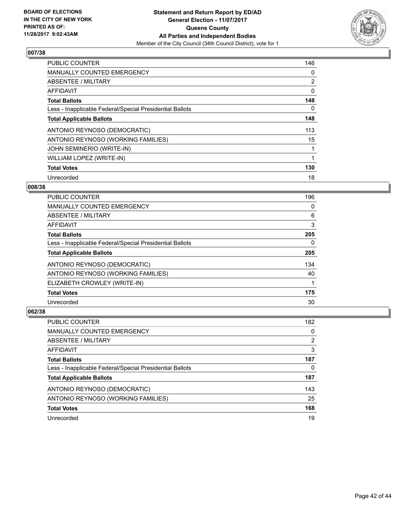

| <b>PUBLIC COUNTER</b>                                    | 146 |
|----------------------------------------------------------|-----|
| <b>MANUALLY COUNTED EMERGENCY</b>                        | 0   |
| ABSENTEE / MILITARY                                      | 2   |
| <b>AFFIDAVIT</b>                                         | 0   |
| <b>Total Ballots</b>                                     | 148 |
| Less - Inapplicable Federal/Special Presidential Ballots | 0   |
| <b>Total Applicable Ballots</b>                          | 148 |
| ANTONIO REYNOSO (DEMOCRATIC)                             | 113 |
| ANTONIO REYNOSO (WORKING FAMILIES)                       | 15  |
| <b>JOHN SEMINERIO (WRITE-IN)</b>                         |     |
| WILLIAM LOPEZ (WRITE-IN)                                 | 1   |
| <b>Total Votes</b>                                       | 130 |
| Unrecorded                                               | 18  |

## **008/38**

| <b>PUBLIC COUNTER</b>                                    | 196 |
|----------------------------------------------------------|-----|
| <b>MANUALLY COUNTED EMERGENCY</b>                        | 0   |
| ABSENTEE / MILITARY                                      | 6   |
| AFFIDAVIT                                                | 3   |
| <b>Total Ballots</b>                                     | 205 |
| Less - Inapplicable Federal/Special Presidential Ballots | 0   |
| <b>Total Applicable Ballots</b>                          | 205 |
| ANTONIO REYNOSO (DEMOCRATIC)                             | 134 |
| ANTONIO REYNOSO (WORKING FAMILIES)                       | 40  |
| ELIZABETH CROWLEY (WRITE-IN)                             |     |
| <b>Total Votes</b>                                       | 175 |
| Unrecorded                                               | 30  |

| <b>PUBLIC COUNTER</b>                                    | 182 |
|----------------------------------------------------------|-----|
| MANUALLY COUNTED EMERGENCY                               | 0   |
| ABSENTEE / MILITARY                                      | 2   |
| AFFIDAVIT                                                | 3   |
| <b>Total Ballots</b>                                     | 187 |
| Less - Inapplicable Federal/Special Presidential Ballots | 0   |
| <b>Total Applicable Ballots</b>                          | 187 |
| ANTONIO REYNOSO (DEMOCRATIC)                             | 143 |
| ANTONIO REYNOSO (WORKING FAMILIES)                       | 25  |
| <b>Total Votes</b>                                       | 168 |
| Unrecorded                                               | 19  |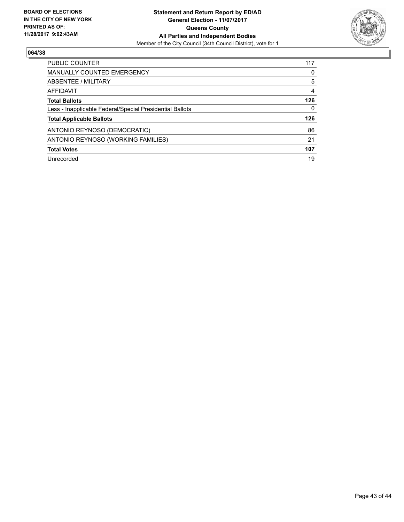

| <b>PUBLIC COUNTER</b>                                    | 117 |
|----------------------------------------------------------|-----|
| <b>MANUALLY COUNTED EMERGENCY</b>                        | 0   |
| ABSENTEE / MILITARY                                      | 5   |
| AFFIDAVIT                                                | 4   |
| <b>Total Ballots</b>                                     | 126 |
| Less - Inapplicable Federal/Special Presidential Ballots | 0   |
| <b>Total Applicable Ballots</b>                          | 126 |
| ANTONIO REYNOSO (DEMOCRATIC)                             | 86  |
| ANTONIO REYNOSO (WORKING FAMILIES)                       | 21  |
| <b>Total Votes</b>                                       | 107 |
| Unrecorded                                               | 19  |